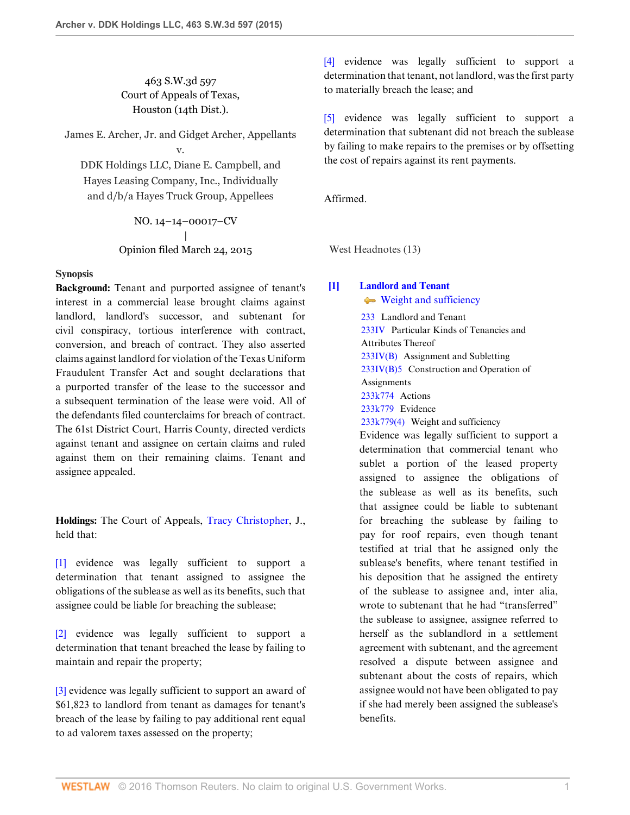## 463 S.W.3d 597 Court of Appeals of Texas, Houston (14th Dist.).

James E. Archer, Jr. and Gidget Archer, Appellants v.

DDK Holdings LLC, Diane E. Campbell, and Hayes Leasing Company, Inc., Individually and d/b/a Hayes Truck Group, Appellees

> NO. 14–14–00017–CV | Opinion filed March 24, 2015

### **Synopsis**

**Background:** Tenant and purported assignee of tenant's interest in a commercial lease brought claims against landlord, landlord's successor, and subtenant for civil conspiracy, tortious interference with contract, conversion, and breach of contract. They also asserted claims against landlord for violation of the Texas Uniform Fraudulent Transfer Act and sought declarations that a purported transfer of the lease to the successor and a subsequent termination of the lease were void. All of the defendants filed counterclaims for breach of contract. The 61st District Court, Harris County, directed verdicts against tenant and assignee on certain claims and ruled against them on their remaining claims. Tenant and assignee appealed.

**Holdings:** The Court of Appeals, [Tracy Christopher,](http://www.westlaw.com/Link/Document/FullText?findType=h&pubNum=176284&cite=0316739801&originatingDoc=I7baf9d10d47b11e4829b92275215781c&refType=RQ&originationContext=document&vr=3.0&rs=cblt1.0&transitionType=DocumentItem&contextData=(sc.UserEnteredCitation)) J., held that:

[\[1\]](#page-0-0) evidence was legally sufficient to support a determination that tenant assigned to assignee the obligations of the sublease as well as its benefits, such that assignee could be liable for breaching the sublease;

[\[2\]](#page-1-0) evidence was legally sufficient to support a determination that tenant breached the lease by failing to maintain and repair the property;

[\[3\]](#page-2-0) evidence was legally sufficient to support an award of \$61,823 to landlord from tenant as damages for tenant's breach of the lease by failing to pay additional rent equal to ad valorem taxes assessed on the property;

[\[4\]](#page-2-1) evidence was legally sufficient to support a determination that tenant, not landlord, was the first party to materially breach the lease; and

[\[5\]](#page-3-0) evidence was legally sufficient to support a determination that subtenant did not breach the sublease by failing to make repairs to the premises or by offsetting the cost of repairs against its rent payments.

Affirmed.

West Headnotes (13)

## <span id="page-0-0"></span>**[\[1\]](#page-7-0) [Landlord and Tenant](http://www.westlaw.com/Browse/Home/KeyNumber/233/View.html?docGuid=I7baf9d10d47b11e4829b92275215781c&originationContext=document&vr=3.0&rs=cblt1.0&transitionType=DocumentItem&contextData=(sc.UserEnteredCitation))**

[Weight and sufficiency](http://www.westlaw.com/Browse/Home/KeyNumber/233k779(4)/View.html?docGuid=I7baf9d10d47b11e4829b92275215781c&originationContext=document&vr=3.0&rs=cblt1.0&transitionType=DocumentItem&contextData=(sc.UserEnteredCitation))

[233](http://www.westlaw.com/Browse/Home/KeyNumber/233/View.html?docGuid=I7baf9d10d47b11e4829b92275215781c&originationContext=document&vr=3.0&rs=cblt1.0&transitionType=DocumentItem&contextData=(sc.UserEnteredCitation)) Landlord and Tenant [233IV](http://www.westlaw.com/Browse/Home/KeyNumber/233IV/View.html?docGuid=I7baf9d10d47b11e4829b92275215781c&originationContext=document&vr=3.0&rs=cblt1.0&transitionType=DocumentItem&contextData=(sc.UserEnteredCitation)) Particular Kinds of Tenancies and Attributes Thereof [233IV\(B\)](http://www.westlaw.com/Browse/Home/KeyNumber/233IV(B)/View.html?docGuid=I7baf9d10d47b11e4829b92275215781c&originationContext=document&vr=3.0&rs=cblt1.0&transitionType=DocumentItem&contextData=(sc.UserEnteredCitation)) Assignment and Subletting  $233IV(B)5$  Construction and Operation of **Assignments** [233k774](http://www.westlaw.com/Browse/Home/KeyNumber/233k774/View.html?docGuid=I7baf9d10d47b11e4829b92275215781c&originationContext=document&vr=3.0&rs=cblt1.0&transitionType=DocumentItem&contextData=(sc.UserEnteredCitation)) Actions [233k779](http://www.westlaw.com/Browse/Home/KeyNumber/233k779/View.html?docGuid=I7baf9d10d47b11e4829b92275215781c&originationContext=document&vr=3.0&rs=cblt1.0&transitionType=DocumentItem&contextData=(sc.UserEnteredCitation)) Evidence [233k779\(4\)](http://www.westlaw.com/Browse/Home/KeyNumber/233k779(4)/View.html?docGuid=I7baf9d10d47b11e4829b92275215781c&originationContext=document&vr=3.0&rs=cblt1.0&transitionType=DocumentItem&contextData=(sc.UserEnteredCitation)) Weight and sufficiency

Evidence was legally sufficient to support a determination that commercial tenant who sublet a portion of the leased property assigned to assignee the obligations of the sublease as well as its benefits, such that assignee could be liable to subtenant for breaching the sublease by failing to pay for roof repairs, even though tenant testified at trial that he assigned only the sublease's benefits, where tenant testified in his deposition that he assigned the entirety of the sublease to assignee and, inter alia, wrote to subtenant that he had "transferred" the sublease to assignee, assignee referred to herself as the sublandlord in a settlement agreement with subtenant, and the agreement resolved a dispute between assignee and subtenant about the costs of repairs, which assignee would not have been obligated to pay if she had merely been assigned the sublease's benefits.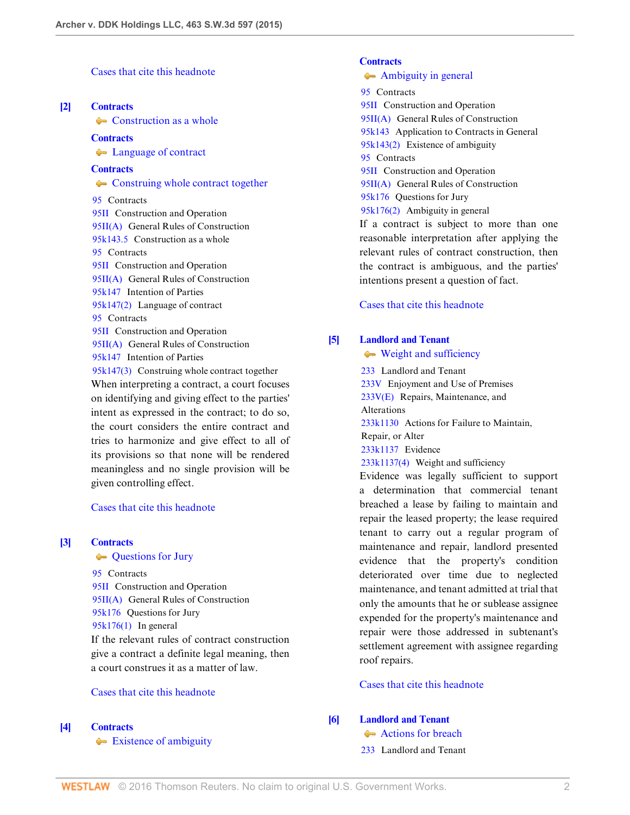[Cases that cite this headnote](http://www.westlaw.com/Link/RelatedInformation/DocHeadnoteLink?docGuid=I7baf9d10d47b11e4829b92275215781c&headnoteId=203571027000120151002023334&originationContext=document&vr=3.0&rs=cblt1.0&transitionType=CitingReferences&contextData=(sc.UserEnteredCitation))

#### <span id="page-1-1"></span>**[\[2\]](#page-8-0) [Contracts](http://www.westlaw.com/Browse/Home/KeyNumber/95/View.html?docGuid=I7baf9d10d47b11e4829b92275215781c&originationContext=document&vr=3.0&rs=cblt1.0&transitionType=DocumentItem&contextData=(sc.UserEnteredCitation))**

**[Construction as a whole](http://www.westlaw.com/Browse/Home/KeyNumber/95k143.5/View.html?docGuid=I7baf9d10d47b11e4829b92275215781c&originationContext=document&vr=3.0&rs=cblt1.0&transitionType=DocumentItem&contextData=(sc.UserEnteredCitation))** 

#### **[Contracts](http://www.westlaw.com/Browse/Home/KeyNumber/95/View.html?docGuid=I7baf9d10d47b11e4829b92275215781c&originationContext=document&vr=3.0&rs=cblt1.0&transitionType=DocumentItem&contextData=(sc.UserEnteredCitation))**

• [Language of contract](http://www.westlaw.com/Browse/Home/KeyNumber/95k147(2)/View.html?docGuid=I7baf9d10d47b11e4829b92275215781c&originationContext=document&vr=3.0&rs=cblt1.0&transitionType=DocumentItem&contextData=(sc.UserEnteredCitation))

#### **[Contracts](http://www.westlaw.com/Browse/Home/KeyNumber/95/View.html?docGuid=I7baf9d10d47b11e4829b92275215781c&originationContext=document&vr=3.0&rs=cblt1.0&transitionType=DocumentItem&contextData=(sc.UserEnteredCitation))**

• [Construing whole contract together](http://www.westlaw.com/Browse/Home/KeyNumber/95k147(3)/View.html?docGuid=I7baf9d10d47b11e4829b92275215781c&originationContext=document&vr=3.0&rs=cblt1.0&transitionType=DocumentItem&contextData=(sc.UserEnteredCitation)) [95](http://www.westlaw.com/Browse/Home/KeyNumber/95/View.html?docGuid=I7baf9d10d47b11e4829b92275215781c&originationContext=document&vr=3.0&rs=cblt1.0&transitionType=DocumentItem&contextData=(sc.UserEnteredCitation)) Contracts [95II](http://www.westlaw.com/Browse/Home/KeyNumber/95II/View.html?docGuid=I7baf9d10d47b11e4829b92275215781c&originationContext=document&vr=3.0&rs=cblt1.0&transitionType=DocumentItem&contextData=(sc.UserEnteredCitation)) Construction and Operation [95II\(A\)](http://www.westlaw.com/Browse/Home/KeyNumber/95II(A)/View.html?docGuid=I7baf9d10d47b11e4829b92275215781c&originationContext=document&vr=3.0&rs=cblt1.0&transitionType=DocumentItem&contextData=(sc.UserEnteredCitation)) General Rules of Construction [95k143.5](http://www.westlaw.com/Browse/Home/KeyNumber/95k143.5/View.html?docGuid=I7baf9d10d47b11e4829b92275215781c&originationContext=document&vr=3.0&rs=cblt1.0&transitionType=DocumentItem&contextData=(sc.UserEnteredCitation)) Construction as a whole [95](http://www.westlaw.com/Browse/Home/KeyNumber/95/View.html?docGuid=I7baf9d10d47b11e4829b92275215781c&originationContext=document&vr=3.0&rs=cblt1.0&transitionType=DocumentItem&contextData=(sc.UserEnteredCitation)) Contracts [95II](http://www.westlaw.com/Browse/Home/KeyNumber/95II/View.html?docGuid=I7baf9d10d47b11e4829b92275215781c&originationContext=document&vr=3.0&rs=cblt1.0&transitionType=DocumentItem&contextData=(sc.UserEnteredCitation)) Construction and Operation [95II\(A\)](http://www.westlaw.com/Browse/Home/KeyNumber/95II(A)/View.html?docGuid=I7baf9d10d47b11e4829b92275215781c&originationContext=document&vr=3.0&rs=cblt1.0&transitionType=DocumentItem&contextData=(sc.UserEnteredCitation)) General Rules of Construction [95k147](http://www.westlaw.com/Browse/Home/KeyNumber/95k147/View.html?docGuid=I7baf9d10d47b11e4829b92275215781c&originationContext=document&vr=3.0&rs=cblt1.0&transitionType=DocumentItem&contextData=(sc.UserEnteredCitation)) Intention of Parties [95k147\(2\)](http://www.westlaw.com/Browse/Home/KeyNumber/95k147(2)/View.html?docGuid=I7baf9d10d47b11e4829b92275215781c&originationContext=document&vr=3.0&rs=cblt1.0&transitionType=DocumentItem&contextData=(sc.UserEnteredCitation)) Language of contract [95](http://www.westlaw.com/Browse/Home/KeyNumber/95/View.html?docGuid=I7baf9d10d47b11e4829b92275215781c&originationContext=document&vr=3.0&rs=cblt1.0&transitionType=DocumentItem&contextData=(sc.UserEnteredCitation)) Contracts [95II](http://www.westlaw.com/Browse/Home/KeyNumber/95II/View.html?docGuid=I7baf9d10d47b11e4829b92275215781c&originationContext=document&vr=3.0&rs=cblt1.0&transitionType=DocumentItem&contextData=(sc.UserEnteredCitation)) Construction and Operation [95II\(A\)](http://www.westlaw.com/Browse/Home/KeyNumber/95II(A)/View.html?docGuid=I7baf9d10d47b11e4829b92275215781c&originationContext=document&vr=3.0&rs=cblt1.0&transitionType=DocumentItem&contextData=(sc.UserEnteredCitation)) General Rules of Construction [95k147](http://www.westlaw.com/Browse/Home/KeyNumber/95k147/View.html?docGuid=I7baf9d10d47b11e4829b92275215781c&originationContext=document&vr=3.0&rs=cblt1.0&transitionType=DocumentItem&contextData=(sc.UserEnteredCitation)) Intention of Parties [95k147\(3\)](http://www.westlaw.com/Browse/Home/KeyNumber/95k147(3)/View.html?docGuid=I7baf9d10d47b11e4829b92275215781c&originationContext=document&vr=3.0&rs=cblt1.0&transitionType=DocumentItem&contextData=(sc.UserEnteredCitation)) Construing whole contract together When interpreting a contract, a court focuses on identifying and giving effect to the parties' intent as expressed in the contract; to do so, the court considers the entire contract and tries to harmonize and give effect to all of its provisions so that none will be rendered meaningless and no single provision will be

#### [Cases that cite this headnote](http://www.westlaw.com/Link/RelatedInformation/DocHeadnoteLink?docGuid=I7baf9d10d47b11e4829b92275215781c&headnoteId=203571027000220151002023334&originationContext=document&vr=3.0&rs=cblt1.0&transitionType=CitingReferences&contextData=(sc.UserEnteredCitation))

given controlling effect.

### <span id="page-1-2"></span>**[\[3\]](#page-8-1) [Contracts](http://www.westlaw.com/Browse/Home/KeyNumber/95/View.html?docGuid=I7baf9d10d47b11e4829b92275215781c&originationContext=document&vr=3.0&rs=cblt1.0&transitionType=DocumentItem&contextData=(sc.UserEnteredCitation))**

#### **[Questions for Jury](http://www.westlaw.com/Browse/Home/KeyNumber/95k176/View.html?docGuid=I7baf9d10d47b11e4829b92275215781c&originationContext=document&vr=3.0&rs=cblt1.0&transitionType=DocumentItem&contextData=(sc.UserEnteredCitation))**

[95](http://www.westlaw.com/Browse/Home/KeyNumber/95/View.html?docGuid=I7baf9d10d47b11e4829b92275215781c&originationContext=document&vr=3.0&rs=cblt1.0&transitionType=DocumentItem&contextData=(sc.UserEnteredCitation)) Contracts [95II](http://www.westlaw.com/Browse/Home/KeyNumber/95II/View.html?docGuid=I7baf9d10d47b11e4829b92275215781c&originationContext=document&vr=3.0&rs=cblt1.0&transitionType=DocumentItem&contextData=(sc.UserEnteredCitation)) Construction and Operation [95II\(A\)](http://www.westlaw.com/Browse/Home/KeyNumber/95II(A)/View.html?docGuid=I7baf9d10d47b11e4829b92275215781c&originationContext=document&vr=3.0&rs=cblt1.0&transitionType=DocumentItem&contextData=(sc.UserEnteredCitation)) General Rules of Construction [95k176](http://www.westlaw.com/Browse/Home/KeyNumber/95k176/View.html?docGuid=I7baf9d10d47b11e4829b92275215781c&originationContext=document&vr=3.0&rs=cblt1.0&transitionType=DocumentItem&contextData=(sc.UserEnteredCitation)) Questions for Jury [95k176\(1\)](http://www.westlaw.com/Browse/Home/KeyNumber/95k176(1)/View.html?docGuid=I7baf9d10d47b11e4829b92275215781c&originationContext=document&vr=3.0&rs=cblt1.0&transitionType=DocumentItem&contextData=(sc.UserEnteredCitation)) In general If the relevant rules of contract construction give a contract a definite legal meaning, then a court construes it as a matter of law.

### [Cases that cite this headnote](http://www.westlaw.com/Link/RelatedInformation/DocHeadnoteLink?docGuid=I7baf9d10d47b11e4829b92275215781c&headnoteId=203571027000320151002023334&originationContext=document&vr=3.0&rs=cblt1.0&transitionType=CitingReferences&contextData=(sc.UserEnteredCitation))

#### <span id="page-1-3"></span>**[\[4\]](#page-8-2) [Contracts](http://www.westlaw.com/Browse/Home/KeyNumber/95/View.html?docGuid=I7baf9d10d47b11e4829b92275215781c&originationContext=document&vr=3.0&rs=cblt1.0&transitionType=DocumentItem&contextData=(sc.UserEnteredCitation))**

[Existence of ambiguity](http://www.westlaw.com/Browse/Home/KeyNumber/95k143(2)/View.html?docGuid=I7baf9d10d47b11e4829b92275215781c&originationContext=document&vr=3.0&rs=cblt1.0&transitionType=DocumentItem&contextData=(sc.UserEnteredCitation))

## **[Contracts](http://www.westlaw.com/Browse/Home/KeyNumber/95/View.html?docGuid=I7baf9d10d47b11e4829b92275215781c&originationContext=document&vr=3.0&rs=cblt1.0&transitionType=DocumentItem&contextData=(sc.UserEnteredCitation))**

## [Ambiguity in general](http://www.westlaw.com/Browse/Home/KeyNumber/95k176(2)/View.html?docGuid=I7baf9d10d47b11e4829b92275215781c&originationContext=document&vr=3.0&rs=cblt1.0&transitionType=DocumentItem&contextData=(sc.UserEnteredCitation))

[95](http://www.westlaw.com/Browse/Home/KeyNumber/95/View.html?docGuid=I7baf9d10d47b11e4829b92275215781c&originationContext=document&vr=3.0&rs=cblt1.0&transitionType=DocumentItem&contextData=(sc.UserEnteredCitation)) Contracts [95II](http://www.westlaw.com/Browse/Home/KeyNumber/95II/View.html?docGuid=I7baf9d10d47b11e4829b92275215781c&originationContext=document&vr=3.0&rs=cblt1.0&transitionType=DocumentItem&contextData=(sc.UserEnteredCitation)) Construction and Operation [95II\(A\)](http://www.westlaw.com/Browse/Home/KeyNumber/95II(A)/View.html?docGuid=I7baf9d10d47b11e4829b92275215781c&originationContext=document&vr=3.0&rs=cblt1.0&transitionType=DocumentItem&contextData=(sc.UserEnteredCitation)) General Rules of Construction [95k143](http://www.westlaw.com/Browse/Home/KeyNumber/95k143/View.html?docGuid=I7baf9d10d47b11e4829b92275215781c&originationContext=document&vr=3.0&rs=cblt1.0&transitionType=DocumentItem&contextData=(sc.UserEnteredCitation)) Application to Contracts in General [95k143\(2\)](http://www.westlaw.com/Browse/Home/KeyNumber/95k143(2)/View.html?docGuid=I7baf9d10d47b11e4829b92275215781c&originationContext=document&vr=3.0&rs=cblt1.0&transitionType=DocumentItem&contextData=(sc.UserEnteredCitation)) Existence of ambiguity [95](http://www.westlaw.com/Browse/Home/KeyNumber/95/View.html?docGuid=I7baf9d10d47b11e4829b92275215781c&originationContext=document&vr=3.0&rs=cblt1.0&transitionType=DocumentItem&contextData=(sc.UserEnteredCitation)) Contracts [95II](http://www.westlaw.com/Browse/Home/KeyNumber/95II/View.html?docGuid=I7baf9d10d47b11e4829b92275215781c&originationContext=document&vr=3.0&rs=cblt1.0&transitionType=DocumentItem&contextData=(sc.UserEnteredCitation)) Construction and Operation [95II\(A\)](http://www.westlaw.com/Browse/Home/KeyNumber/95II(A)/View.html?docGuid=I7baf9d10d47b11e4829b92275215781c&originationContext=document&vr=3.0&rs=cblt1.0&transitionType=DocumentItem&contextData=(sc.UserEnteredCitation)) General Rules of Construction [95k176](http://www.westlaw.com/Browse/Home/KeyNumber/95k176/View.html?docGuid=I7baf9d10d47b11e4829b92275215781c&originationContext=document&vr=3.0&rs=cblt1.0&transitionType=DocumentItem&contextData=(sc.UserEnteredCitation)) Questions for Jury [95k176\(2\)](http://www.westlaw.com/Browse/Home/KeyNumber/95k176(2)/View.html?docGuid=I7baf9d10d47b11e4829b92275215781c&originationContext=document&vr=3.0&rs=cblt1.0&transitionType=DocumentItem&contextData=(sc.UserEnteredCitation)) Ambiguity in general If a contract is subject to more than one reasonable interpretation after applying the relevant rules of contract construction, then the contract is ambiguous, and the parties'

[Cases that cite this headnote](http://www.westlaw.com/Link/RelatedInformation/DocHeadnoteLink?docGuid=I7baf9d10d47b11e4829b92275215781c&headnoteId=203571027000420151002023334&originationContext=document&vr=3.0&rs=cblt1.0&transitionType=CitingReferences&contextData=(sc.UserEnteredCitation))

intentions present a question of fact.

### <span id="page-1-0"></span>**[\[5\]](#page-8-3) [Landlord and Tenant](http://www.westlaw.com/Browse/Home/KeyNumber/233/View.html?docGuid=I7baf9d10d47b11e4829b92275215781c&originationContext=document&vr=3.0&rs=cblt1.0&transitionType=DocumentItem&contextData=(sc.UserEnteredCitation))**

[Weight and sufficiency](http://www.westlaw.com/Browse/Home/KeyNumber/233k1137(4)/View.html?docGuid=I7baf9d10d47b11e4829b92275215781c&originationContext=document&vr=3.0&rs=cblt1.0&transitionType=DocumentItem&contextData=(sc.UserEnteredCitation))

[233](http://www.westlaw.com/Browse/Home/KeyNumber/233/View.html?docGuid=I7baf9d10d47b11e4829b92275215781c&originationContext=document&vr=3.0&rs=cblt1.0&transitionType=DocumentItem&contextData=(sc.UserEnteredCitation)) Landlord and Tenant [233V](http://www.westlaw.com/Browse/Home/KeyNumber/233V/View.html?docGuid=I7baf9d10d47b11e4829b92275215781c&originationContext=document&vr=3.0&rs=cblt1.0&transitionType=DocumentItem&contextData=(sc.UserEnteredCitation)) Enjoyment and Use of Premises [233V\(E\)](http://www.westlaw.com/Browse/Home/KeyNumber/233V(E)/View.html?docGuid=I7baf9d10d47b11e4829b92275215781c&originationContext=document&vr=3.0&rs=cblt1.0&transitionType=DocumentItem&contextData=(sc.UserEnteredCitation)) Repairs, Maintenance, and Alterations [233k1130](http://www.westlaw.com/Browse/Home/KeyNumber/233k1130/View.html?docGuid=I7baf9d10d47b11e4829b92275215781c&originationContext=document&vr=3.0&rs=cblt1.0&transitionType=DocumentItem&contextData=(sc.UserEnteredCitation)) Actions for Failure to Maintain, Repair, or Alter [233k1137](http://www.westlaw.com/Browse/Home/KeyNumber/233k1137/View.html?docGuid=I7baf9d10d47b11e4829b92275215781c&originationContext=document&vr=3.0&rs=cblt1.0&transitionType=DocumentItem&contextData=(sc.UserEnteredCitation)) Evidence [233k1137\(4\)](http://www.westlaw.com/Browse/Home/KeyNumber/233k1137(4)/View.html?docGuid=I7baf9d10d47b11e4829b92275215781c&originationContext=document&vr=3.0&rs=cblt1.0&transitionType=DocumentItem&contextData=(sc.UserEnteredCitation)) Weight and sufficiency Evidence was legally sufficient to support a determination that commercial tenant breached a lease by failing to maintain and repair the leased property; the lease required

tenant to carry out a regular program of maintenance and repair, landlord presented evidence that the property's condition deteriorated over time due to neglected maintenance, and tenant admitted at trial that only the amounts that he or sublease assignee expended for the property's maintenance and repair were those addressed in subtenant's settlement agreement with assignee regarding roof repairs.

### [Cases that cite this headnote](http://www.westlaw.com/Link/RelatedInformation/DocHeadnoteLink?docGuid=I7baf9d10d47b11e4829b92275215781c&headnoteId=203571027000520151002023334&originationContext=document&vr=3.0&rs=cblt1.0&transitionType=CitingReferences&contextData=(sc.UserEnteredCitation))

<span id="page-1-4"></span>**[\[6\]](#page-10-0) [Landlord and Tenant](http://www.westlaw.com/Browse/Home/KeyNumber/233/View.html?docGuid=I7baf9d10d47b11e4829b92275215781c&originationContext=document&vr=3.0&rs=cblt1.0&transitionType=DocumentItem&contextData=(sc.UserEnteredCitation))**

- [Actions for breach](http://www.westlaw.com/Browse/Home/KeyNumber/233k1105(4)/View.html?docGuid=I7baf9d10d47b11e4829b92275215781c&originationContext=document&vr=3.0&rs=cblt1.0&transitionType=DocumentItem&contextData=(sc.UserEnteredCitation))
- [233](http://www.westlaw.com/Browse/Home/KeyNumber/233/View.html?docGuid=I7baf9d10d47b11e4829b92275215781c&originationContext=document&vr=3.0&rs=cblt1.0&transitionType=DocumentItem&contextData=(sc.UserEnteredCitation)) Landlord and Tenant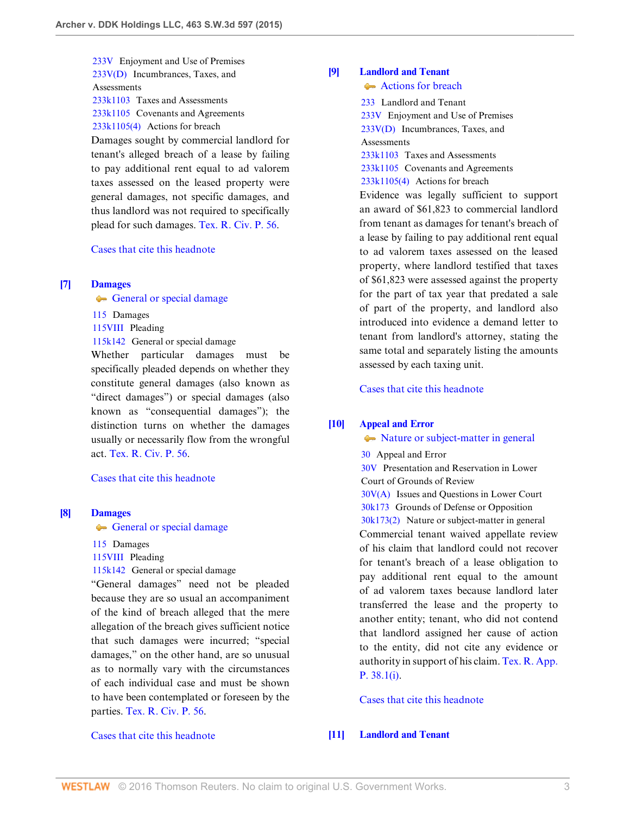[233V](http://www.westlaw.com/Browse/Home/KeyNumber/233V/View.html?docGuid=I7baf9d10d47b11e4829b92275215781c&originationContext=document&vr=3.0&rs=cblt1.0&transitionType=DocumentItem&contextData=(sc.UserEnteredCitation)) Enjoyment and Use of Premises [233V\(D\)](http://www.westlaw.com/Browse/Home/KeyNumber/233V(D)/View.html?docGuid=I7baf9d10d47b11e4829b92275215781c&originationContext=document&vr=3.0&rs=cblt1.0&transitionType=DocumentItem&contextData=(sc.UserEnteredCitation)) Incumbrances, Taxes, and **Assessments** [233k1103](http://www.westlaw.com/Browse/Home/KeyNumber/233k1103/View.html?docGuid=I7baf9d10d47b11e4829b92275215781c&originationContext=document&vr=3.0&rs=cblt1.0&transitionType=DocumentItem&contextData=(sc.UserEnteredCitation)) Taxes and Assessments

[233k1105](http://www.westlaw.com/Browse/Home/KeyNumber/233k1105/View.html?docGuid=I7baf9d10d47b11e4829b92275215781c&originationContext=document&vr=3.0&rs=cblt1.0&transitionType=DocumentItem&contextData=(sc.UserEnteredCitation)) Covenants and Agreements

[233k1105\(4\)](http://www.westlaw.com/Browse/Home/KeyNumber/233k1105(4)/View.html?docGuid=I7baf9d10d47b11e4829b92275215781c&originationContext=document&vr=3.0&rs=cblt1.0&transitionType=DocumentItem&contextData=(sc.UserEnteredCitation)) Actions for breach

Damages sought by commercial landlord for tenant's alleged breach of a lease by failing to pay additional rent equal to ad valorem taxes assessed on the leased property were general damages, not specific damages, and thus landlord was not required to specifically plead for such damages. [Tex. R. Civ. P. 56.](http://www.westlaw.com/Link/Document/FullText?findType=L&pubNum=1003817&cite=TXRRCPR56&originatingDoc=I7baf9d10d47b11e4829b92275215781c&refType=LQ&originationContext=document&vr=3.0&rs=cblt1.0&transitionType=DocumentItem&contextData=(sc.UserEnteredCitation))

[Cases that cite this headnote](http://www.westlaw.com/Link/RelatedInformation/DocHeadnoteLink?docGuid=I7baf9d10d47b11e4829b92275215781c&headnoteId=203571027000820151002023334&originationContext=document&vr=3.0&rs=cblt1.0&transitionType=CitingReferences&contextData=(sc.UserEnteredCitation))

#### <span id="page-2-2"></span>**[\[7\]](#page-10-1) [Damages](http://www.westlaw.com/Browse/Home/KeyNumber/115/View.html?docGuid=I7baf9d10d47b11e4829b92275215781c&originationContext=document&vr=3.0&rs=cblt1.0&transitionType=DocumentItem&contextData=(sc.UserEnteredCitation))**

[General or special damage](http://www.westlaw.com/Browse/Home/KeyNumber/115k142/View.html?docGuid=I7baf9d10d47b11e4829b92275215781c&originationContext=document&vr=3.0&rs=cblt1.0&transitionType=DocumentItem&contextData=(sc.UserEnteredCitation))

[115](http://www.westlaw.com/Browse/Home/KeyNumber/115/View.html?docGuid=I7baf9d10d47b11e4829b92275215781c&originationContext=document&vr=3.0&rs=cblt1.0&transitionType=DocumentItem&contextData=(sc.UserEnteredCitation)) Damages

[115VIII](http://www.westlaw.com/Browse/Home/KeyNumber/115VIII/View.html?docGuid=I7baf9d10d47b11e4829b92275215781c&originationContext=document&vr=3.0&rs=cblt1.0&transitionType=DocumentItem&contextData=(sc.UserEnteredCitation)) Pleading

[115k142](http://www.westlaw.com/Browse/Home/KeyNumber/115k142/View.html?docGuid=I7baf9d10d47b11e4829b92275215781c&originationContext=document&vr=3.0&rs=cblt1.0&transitionType=DocumentItem&contextData=(sc.UserEnteredCitation)) General or special damage

Whether particular damages must be specifically pleaded depends on whether they constitute general damages (also known as "direct damages") or special damages (also known as "consequential damages"); the distinction turns on whether the damages usually or necessarily flow from the wrongful act. [Tex. R. Civ. P. 56.](http://www.westlaw.com/Link/Document/FullText?findType=L&pubNum=1003817&cite=TXRRCPR56&originatingDoc=I7baf9d10d47b11e4829b92275215781c&refType=LQ&originationContext=document&vr=3.0&rs=cblt1.0&transitionType=DocumentItem&contextData=(sc.UserEnteredCitation))

[Cases that cite this headnote](http://www.westlaw.com/Link/RelatedInformation/DocHeadnoteLink?docGuid=I7baf9d10d47b11e4829b92275215781c&headnoteId=203571027000620151002023334&originationContext=document&vr=3.0&rs=cblt1.0&transitionType=CitingReferences&contextData=(sc.UserEnteredCitation))

#### <span id="page-2-3"></span>**[\[8\]](#page-10-2) [Damages](http://www.westlaw.com/Browse/Home/KeyNumber/115/View.html?docGuid=I7baf9d10d47b11e4829b92275215781c&originationContext=document&vr=3.0&rs=cblt1.0&transitionType=DocumentItem&contextData=(sc.UserEnteredCitation))**

[General or special damage](http://www.westlaw.com/Browse/Home/KeyNumber/115k142/View.html?docGuid=I7baf9d10d47b11e4829b92275215781c&originationContext=document&vr=3.0&rs=cblt1.0&transitionType=DocumentItem&contextData=(sc.UserEnteredCitation))

[115](http://www.westlaw.com/Browse/Home/KeyNumber/115/View.html?docGuid=I7baf9d10d47b11e4829b92275215781c&originationContext=document&vr=3.0&rs=cblt1.0&transitionType=DocumentItem&contextData=(sc.UserEnteredCitation)) Damages

[115VIII](http://www.westlaw.com/Browse/Home/KeyNumber/115VIII/View.html?docGuid=I7baf9d10d47b11e4829b92275215781c&originationContext=document&vr=3.0&rs=cblt1.0&transitionType=DocumentItem&contextData=(sc.UserEnteredCitation)) Pleading

[115k142](http://www.westlaw.com/Browse/Home/KeyNumber/115k142/View.html?docGuid=I7baf9d10d47b11e4829b92275215781c&originationContext=document&vr=3.0&rs=cblt1.0&transitionType=DocumentItem&contextData=(sc.UserEnteredCitation)) General or special damage

"General damages" need not be pleaded because they are so usual an accompaniment of the kind of breach alleged that the mere allegation of the breach gives sufficient notice that such damages were incurred; "special damages," on the other hand, are so unusual as to normally vary with the circumstances of each individual case and must be shown to have been contemplated or foreseen by the parties. [Tex. R. Civ. P. 56.](http://www.westlaw.com/Link/Document/FullText?findType=L&pubNum=1003817&cite=TXRRCPR56&originatingDoc=I7baf9d10d47b11e4829b92275215781c&refType=LQ&originationContext=document&vr=3.0&rs=cblt1.0&transitionType=DocumentItem&contextData=(sc.UserEnteredCitation))

[Cases that cite this headnote](http://www.westlaw.com/Link/RelatedInformation/DocHeadnoteLink?docGuid=I7baf9d10d47b11e4829b92275215781c&headnoteId=203571027000720151002023334&originationContext=document&vr=3.0&rs=cblt1.0&transitionType=CitingReferences&contextData=(sc.UserEnteredCitation))

## <span id="page-2-0"></span>**[\[9\]](#page-11-0) [Landlord and Tenant](http://www.westlaw.com/Browse/Home/KeyNumber/233/View.html?docGuid=I7baf9d10d47b11e4829b92275215781c&originationContext=document&vr=3.0&rs=cblt1.0&transitionType=DocumentItem&contextData=(sc.UserEnteredCitation))**

[Actions for breach](http://www.westlaw.com/Browse/Home/KeyNumber/233k1105(4)/View.html?docGuid=I7baf9d10d47b11e4829b92275215781c&originationContext=document&vr=3.0&rs=cblt1.0&transitionType=DocumentItem&contextData=(sc.UserEnteredCitation))

[233](http://www.westlaw.com/Browse/Home/KeyNumber/233/View.html?docGuid=I7baf9d10d47b11e4829b92275215781c&originationContext=document&vr=3.0&rs=cblt1.0&transitionType=DocumentItem&contextData=(sc.UserEnteredCitation)) Landlord and Tenant

[233V](http://www.westlaw.com/Browse/Home/KeyNumber/233V/View.html?docGuid=I7baf9d10d47b11e4829b92275215781c&originationContext=document&vr=3.0&rs=cblt1.0&transitionType=DocumentItem&contextData=(sc.UserEnteredCitation)) Enjoyment and Use of Premises  $233V(D)$  Incumbrances, Taxes, and **Assessments** 

[233k1103](http://www.westlaw.com/Browse/Home/KeyNumber/233k1103/View.html?docGuid=I7baf9d10d47b11e4829b92275215781c&originationContext=document&vr=3.0&rs=cblt1.0&transitionType=DocumentItem&contextData=(sc.UserEnteredCitation)) Taxes and Assessments [233k1105](http://www.westlaw.com/Browse/Home/KeyNumber/233k1105/View.html?docGuid=I7baf9d10d47b11e4829b92275215781c&originationContext=document&vr=3.0&rs=cblt1.0&transitionType=DocumentItem&contextData=(sc.UserEnteredCitation)) Covenants and Agreements [233k1105\(4\)](http://www.westlaw.com/Browse/Home/KeyNumber/233k1105(4)/View.html?docGuid=I7baf9d10d47b11e4829b92275215781c&originationContext=document&vr=3.0&rs=cblt1.0&transitionType=DocumentItem&contextData=(sc.UserEnteredCitation)) Actions for breach

Evidence was legally sufficient to support an award of \$61,823 to commercial landlord from tenant as damages for tenant's breach of a lease by failing to pay additional rent equal to ad valorem taxes assessed on the leased property, where landlord testified that taxes of \$61,823 were assessed against the property for the part of tax year that predated a sale of part of the property, and landlord also introduced into evidence a demand letter to tenant from landlord's attorney, stating the same total and separately listing the amounts assessed by each taxing unit.

[Cases that cite this headnote](http://www.westlaw.com/Link/RelatedInformation/DocHeadnoteLink?docGuid=I7baf9d10d47b11e4829b92275215781c&headnoteId=203571027000920151002023334&originationContext=document&vr=3.0&rs=cblt1.0&transitionType=CitingReferences&contextData=(sc.UserEnteredCitation))

## <span id="page-2-4"></span>**[\[10\]](#page-11-1) [Appeal and Error](http://www.westlaw.com/Browse/Home/KeyNumber/30/View.html?docGuid=I7baf9d10d47b11e4829b92275215781c&originationContext=document&vr=3.0&rs=cblt1.0&transitionType=DocumentItem&contextData=(sc.UserEnteredCitation))**

#### • [Nature or subject-matter in general](http://www.westlaw.com/Browse/Home/KeyNumber/30k173(2)/View.html?docGuid=I7baf9d10d47b11e4829b92275215781c&originationContext=document&vr=3.0&rs=cblt1.0&transitionType=DocumentItem&contextData=(sc.UserEnteredCitation))

[30](http://www.westlaw.com/Browse/Home/KeyNumber/30/View.html?docGuid=I7baf9d10d47b11e4829b92275215781c&originationContext=document&vr=3.0&rs=cblt1.0&transitionType=DocumentItem&contextData=(sc.UserEnteredCitation)) Appeal and Error

[30V](http://www.westlaw.com/Browse/Home/KeyNumber/30V/View.html?docGuid=I7baf9d10d47b11e4829b92275215781c&originationContext=document&vr=3.0&rs=cblt1.0&transitionType=DocumentItem&contextData=(sc.UserEnteredCitation)) Presentation and Reservation in Lower Court of Grounds of Review [30V\(A\)](http://www.westlaw.com/Browse/Home/KeyNumber/30V(A)/View.html?docGuid=I7baf9d10d47b11e4829b92275215781c&originationContext=document&vr=3.0&rs=cblt1.0&transitionType=DocumentItem&contextData=(sc.UserEnteredCitation)) Issues and Questions in Lower Court [30k173](http://www.westlaw.com/Browse/Home/KeyNumber/30k173/View.html?docGuid=I7baf9d10d47b11e4829b92275215781c&originationContext=document&vr=3.0&rs=cblt1.0&transitionType=DocumentItem&contextData=(sc.UserEnteredCitation)) Grounds of Defense or Opposition

[30k173\(2\)](http://www.westlaw.com/Browse/Home/KeyNumber/30k173(2)/View.html?docGuid=I7baf9d10d47b11e4829b92275215781c&originationContext=document&vr=3.0&rs=cblt1.0&transitionType=DocumentItem&contextData=(sc.UserEnteredCitation)) Nature or subject-matter in general Commercial tenant waived appellate review of his claim that landlord could not recover for tenant's breach of a lease obligation to pay additional rent equal to the amount of ad valorem taxes because landlord later transferred the lease and the property to another entity; tenant, who did not contend that landlord assigned her cause of action to the entity, did not cite any evidence or authority in support of his claim. [Tex. R. App.](http://www.westlaw.com/Link/Document/FullText?findType=L&pubNum=1005293&cite=TXRRAPR38.1&originatingDoc=I7baf9d10d47b11e4829b92275215781c&refType=LQ&originationContext=document&vr=3.0&rs=cblt1.0&transitionType=DocumentItem&contextData=(sc.UserEnteredCitation)) [P. 38.1\(i\).](http://www.westlaw.com/Link/Document/FullText?findType=L&pubNum=1005293&cite=TXRRAPR38.1&originatingDoc=I7baf9d10d47b11e4829b92275215781c&refType=LQ&originationContext=document&vr=3.0&rs=cblt1.0&transitionType=DocumentItem&contextData=(sc.UserEnteredCitation))

[Cases that cite this headnote](http://www.westlaw.com/Link/RelatedInformation/DocHeadnoteLink?docGuid=I7baf9d10d47b11e4829b92275215781c&headnoteId=203571027001120151002023334&originationContext=document&vr=3.0&rs=cblt1.0&transitionType=CitingReferences&contextData=(sc.UserEnteredCitation))

#### <span id="page-2-1"></span>**[\[11\]](#page-11-2) [Landlord and Tenant](http://www.westlaw.com/Browse/Home/KeyNumber/233/View.html?docGuid=I7baf9d10d47b11e4829b92275215781c&originationContext=document&vr=3.0&rs=cblt1.0&transitionType=DocumentItem&contextData=(sc.UserEnteredCitation))**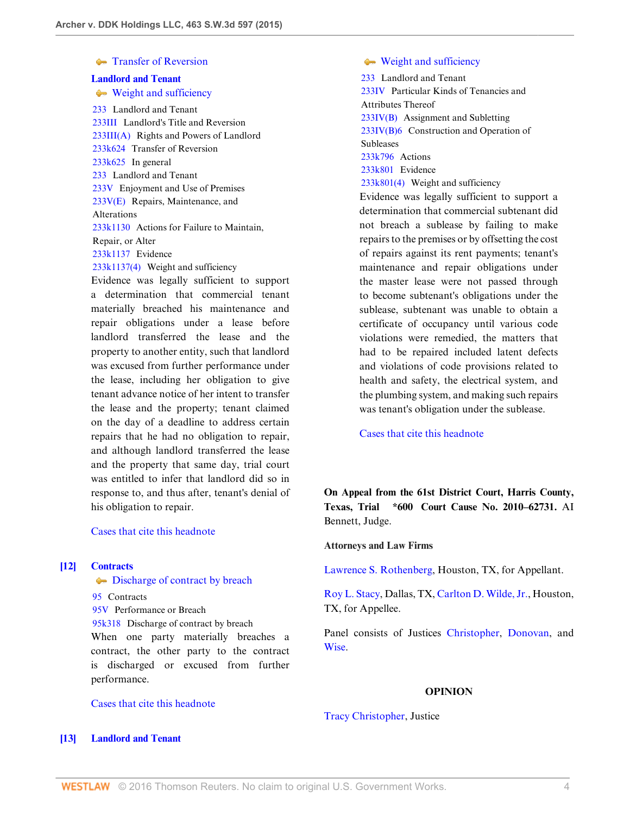### **[Transfer of Reversion](http://www.westlaw.com/Browse/Home/KeyNumber/233k624/View.html?docGuid=I7baf9d10d47b11e4829b92275215781c&originationContext=document&vr=3.0&rs=cblt1.0&transitionType=DocumentItem&contextData=(sc.UserEnteredCitation))**

#### **[Landlord and Tenant](http://www.westlaw.com/Browse/Home/KeyNumber/233/View.html?docGuid=I7baf9d10d47b11e4829b92275215781c&originationContext=document&vr=3.0&rs=cblt1.0&transitionType=DocumentItem&contextData=(sc.UserEnteredCitation))**

[Weight and sufficiency](http://www.westlaw.com/Browse/Home/KeyNumber/233k1137(4)/View.html?docGuid=I7baf9d10d47b11e4829b92275215781c&originationContext=document&vr=3.0&rs=cblt1.0&transitionType=DocumentItem&contextData=(sc.UserEnteredCitation))

[233](http://www.westlaw.com/Browse/Home/KeyNumber/233/View.html?docGuid=I7baf9d10d47b11e4829b92275215781c&originationContext=document&vr=3.0&rs=cblt1.0&transitionType=DocumentItem&contextData=(sc.UserEnteredCitation)) Landlord and Tenant [233III](http://www.westlaw.com/Browse/Home/KeyNumber/233III/View.html?docGuid=I7baf9d10d47b11e4829b92275215781c&originationContext=document&vr=3.0&rs=cblt1.0&transitionType=DocumentItem&contextData=(sc.UserEnteredCitation)) Landlord's Title and Reversion [233III\(A\)](http://www.westlaw.com/Browse/Home/KeyNumber/233III(A)/View.html?docGuid=I7baf9d10d47b11e4829b92275215781c&originationContext=document&vr=3.0&rs=cblt1.0&transitionType=DocumentItem&contextData=(sc.UserEnteredCitation)) Rights and Powers of Landlord [233k624](http://www.westlaw.com/Browse/Home/KeyNumber/233k624/View.html?docGuid=I7baf9d10d47b11e4829b92275215781c&originationContext=document&vr=3.0&rs=cblt1.0&transitionType=DocumentItem&contextData=(sc.UserEnteredCitation)) Transfer of Reversion [233k625](http://www.westlaw.com/Browse/Home/KeyNumber/233k625/View.html?docGuid=I7baf9d10d47b11e4829b92275215781c&originationContext=document&vr=3.0&rs=cblt1.0&transitionType=DocumentItem&contextData=(sc.UserEnteredCitation)) In general [233](http://www.westlaw.com/Browse/Home/KeyNumber/233/View.html?docGuid=I7baf9d10d47b11e4829b92275215781c&originationContext=document&vr=3.0&rs=cblt1.0&transitionType=DocumentItem&contextData=(sc.UserEnteredCitation)) Landlord and Tenant [233V](http://www.westlaw.com/Browse/Home/KeyNumber/233V/View.html?docGuid=I7baf9d10d47b11e4829b92275215781c&originationContext=document&vr=3.0&rs=cblt1.0&transitionType=DocumentItem&contextData=(sc.UserEnteredCitation)) Enjoyment and Use of Premises [233V\(E\)](http://www.westlaw.com/Browse/Home/KeyNumber/233V(E)/View.html?docGuid=I7baf9d10d47b11e4829b92275215781c&originationContext=document&vr=3.0&rs=cblt1.0&transitionType=DocumentItem&contextData=(sc.UserEnteredCitation)) Repairs, Maintenance, and Alterations [233k1130](http://www.westlaw.com/Browse/Home/KeyNumber/233k1130/View.html?docGuid=I7baf9d10d47b11e4829b92275215781c&originationContext=document&vr=3.0&rs=cblt1.0&transitionType=DocumentItem&contextData=(sc.UserEnteredCitation)) Actions for Failure to Maintain, Repair, or Alter [233k1137](http://www.westlaw.com/Browse/Home/KeyNumber/233k1137/View.html?docGuid=I7baf9d10d47b11e4829b92275215781c&originationContext=document&vr=3.0&rs=cblt1.0&transitionType=DocumentItem&contextData=(sc.UserEnteredCitation)) Evidence [233k1137\(4\)](http://www.westlaw.com/Browse/Home/KeyNumber/233k1137(4)/View.html?docGuid=I7baf9d10d47b11e4829b92275215781c&originationContext=document&vr=3.0&rs=cblt1.0&transitionType=DocumentItem&contextData=(sc.UserEnteredCitation)) Weight and sufficiency

Evidence was legally sufficient to support a determination that commercial tenant materially breached his maintenance and repair obligations under a lease before landlord transferred the lease and the property to another entity, such that landlord was excused from further performance under the lease, including her obligation to give tenant advance notice of her intent to transfer the lease and the property; tenant claimed on the day of a deadline to address certain repairs that he had no obligation to repair, and although landlord transferred the lease and the property that same day, trial court was entitled to infer that landlord did so in response to, and thus after, tenant's denial of his obligation to repair.

[Cases that cite this headnote](http://www.westlaw.com/Link/RelatedInformation/DocHeadnoteLink?docGuid=I7baf9d10d47b11e4829b92275215781c&headnoteId=203571027001020151002023334&originationContext=document&vr=3.0&rs=cblt1.0&transitionType=CitingReferences&contextData=(sc.UserEnteredCitation))

### <span id="page-3-1"></span>**[\[12\]](#page-12-0) [Contracts](http://www.westlaw.com/Browse/Home/KeyNumber/95/View.html?docGuid=I7baf9d10d47b11e4829b92275215781c&originationContext=document&vr=3.0&rs=cblt1.0&transitionType=DocumentItem&contextData=(sc.UserEnteredCitation))**

 $\blacktriangleright$  [Discharge of contract by breach](http://www.westlaw.com/Browse/Home/KeyNumber/95k318/View.html?docGuid=I7baf9d10d47b11e4829b92275215781c&originationContext=document&vr=3.0&rs=cblt1.0&transitionType=DocumentItem&contextData=(sc.UserEnteredCitation))

[95](http://www.westlaw.com/Browse/Home/KeyNumber/95/View.html?docGuid=I7baf9d10d47b11e4829b92275215781c&originationContext=document&vr=3.0&rs=cblt1.0&transitionType=DocumentItem&contextData=(sc.UserEnteredCitation)) Contracts

[95V](http://www.westlaw.com/Browse/Home/KeyNumber/95V/View.html?docGuid=I7baf9d10d47b11e4829b92275215781c&originationContext=document&vr=3.0&rs=cblt1.0&transitionType=DocumentItem&contextData=(sc.UserEnteredCitation)) Performance or Breach [95k318](http://www.westlaw.com/Browse/Home/KeyNumber/95k318/View.html?docGuid=I7baf9d10d47b11e4829b92275215781c&originationContext=document&vr=3.0&rs=cblt1.0&transitionType=DocumentItem&contextData=(sc.UserEnteredCitation)) Discharge of contract by breach When one party materially breaches a contract, the other party to the contract is discharged or excused from further performance.

<span id="page-3-0"></span>[Cases that cite this headnote](http://www.westlaw.com/Link/RelatedInformation/DocHeadnoteLink?docGuid=I7baf9d10d47b11e4829b92275215781c&headnoteId=203571027001320151002023334&originationContext=document&vr=3.0&rs=cblt1.0&transitionType=CitingReferences&contextData=(sc.UserEnteredCitation))

### [Weight and sufficiency](http://www.westlaw.com/Browse/Home/KeyNumber/233k801(4)/View.html?docGuid=I7baf9d10d47b11e4829b92275215781c&originationContext=document&vr=3.0&rs=cblt1.0&transitionType=DocumentItem&contextData=(sc.UserEnteredCitation))

[233](http://www.westlaw.com/Browse/Home/KeyNumber/233/View.html?docGuid=I7baf9d10d47b11e4829b92275215781c&originationContext=document&vr=3.0&rs=cblt1.0&transitionType=DocumentItem&contextData=(sc.UserEnteredCitation)) Landlord and Tenant [233IV](http://www.westlaw.com/Browse/Home/KeyNumber/233IV/View.html?docGuid=I7baf9d10d47b11e4829b92275215781c&originationContext=document&vr=3.0&rs=cblt1.0&transitionType=DocumentItem&contextData=(sc.UserEnteredCitation)) Particular Kinds of Tenancies and Attributes Thereof [233IV\(B\)](http://www.westlaw.com/Browse/Home/KeyNumber/233IV(B)/View.html?docGuid=I7baf9d10d47b11e4829b92275215781c&originationContext=document&vr=3.0&rs=cblt1.0&transitionType=DocumentItem&contextData=(sc.UserEnteredCitation)) Assignment and Subletting [233IV\(B\)6](http://www.westlaw.com/Browse/Home/KeyNumber/233IV(B)6/View.html?docGuid=I7baf9d10d47b11e4829b92275215781c&originationContext=document&vr=3.0&rs=cblt1.0&transitionType=DocumentItem&contextData=(sc.UserEnteredCitation)) Construction and Operation of **Subleases** [233k796](http://www.westlaw.com/Browse/Home/KeyNumber/233k796/View.html?docGuid=I7baf9d10d47b11e4829b92275215781c&originationContext=document&vr=3.0&rs=cblt1.0&transitionType=DocumentItem&contextData=(sc.UserEnteredCitation)) Actions [233k801](http://www.westlaw.com/Browse/Home/KeyNumber/233k801/View.html?docGuid=I7baf9d10d47b11e4829b92275215781c&originationContext=document&vr=3.0&rs=cblt1.0&transitionType=DocumentItem&contextData=(sc.UserEnteredCitation)) Evidence [233k801\(4\)](http://www.westlaw.com/Browse/Home/KeyNumber/233k801(4)/View.html?docGuid=I7baf9d10d47b11e4829b92275215781c&originationContext=document&vr=3.0&rs=cblt1.0&transitionType=DocumentItem&contextData=(sc.UserEnteredCitation)) Weight and sufficiency Evidence was legally sufficient to support a determination that commercial subtenant did not breach a sublease by failing to make repairs to the premises or by offsetting the cost of repairs against its rent payments; tenant's maintenance and repair obligations under the master lease were not passed through to become subtenant's obligations under the sublease, subtenant was unable to obtain a certificate of occupancy until various code violations were remedied, the matters that had to be repaired included latent defects and violations of code provisions related to health and safety, the electrical system, and the plumbing system, and making such repairs

[Cases that cite this headnote](http://www.westlaw.com/Link/RelatedInformation/DocHeadnoteLink?docGuid=I7baf9d10d47b11e4829b92275215781c&headnoteId=203571027001220151002023334&originationContext=document&vr=3.0&rs=cblt1.0&transitionType=CitingReferences&contextData=(sc.UserEnteredCitation))

**On Appeal from the 61st District Court, Harris County, Texas, Trial \*600 Court Cause No. 2010–62731.** AI Bennett, Judge.

was tenant's obligation under the sublease.

#### **Attorneys and Law Firms**

[Lawrence S. Rothenberg](http://www.westlaw.com/Link/Document/FullText?findType=h&pubNum=176284&cite=0278151701&originatingDoc=I7baf9d10d47b11e4829b92275215781c&refType=RQ&originationContext=document&vr=3.0&rs=cblt1.0&transitionType=DocumentItem&contextData=(sc.UserEnteredCitation)), Houston, TX, for Appellant.

[Roy L. Stacy](http://www.westlaw.com/Link/Document/FullText?findType=h&pubNum=176284&cite=0486695201&originatingDoc=I7baf9d10d47b11e4829b92275215781c&refType=RQ&originationContext=document&vr=3.0&rs=cblt1.0&transitionType=DocumentItem&contextData=(sc.UserEnteredCitation)), Dallas, TX, [Carlton D. Wilde, Jr.](http://www.westlaw.com/Link/Document/FullText?findType=h&pubNum=176284&cite=0122473301&originatingDoc=I7baf9d10d47b11e4829b92275215781c&refType=RQ&originationContext=document&vr=3.0&rs=cblt1.0&transitionType=DocumentItem&contextData=(sc.UserEnteredCitation)), Houston, TX, for Appellee.

Panel consists of Justices [Christopher,](http://www.westlaw.com/Link/Document/FullText?findType=h&pubNum=176284&cite=0316739801&originatingDoc=I7baf9d10d47b11e4829b92275215781c&refType=RQ&originationContext=document&vr=3.0&rs=cblt1.0&transitionType=DocumentItem&contextData=(sc.UserEnteredCitation)) [Donovan,](http://www.westlaw.com/Link/Document/FullText?findType=h&pubNum=176284&cite=0316702301&originatingDoc=I7baf9d10d47b11e4829b92275215781c&refType=RQ&originationContext=document&vr=3.0&rs=cblt1.0&transitionType=DocumentItem&contextData=(sc.UserEnteredCitation)) and [Wise.](http://www.westlaw.com/Link/Document/FullText?findType=h&pubNum=176284&cite=0104115601&originatingDoc=I7baf9d10d47b11e4829b92275215781c&refType=RQ&originationContext=document&vr=3.0&rs=cblt1.0&transitionType=DocumentItem&contextData=(sc.UserEnteredCitation))

#### **OPINION**

#### [Tracy Christopher,](http://www.westlaw.com/Link/Document/FullText?findType=h&pubNum=176284&cite=0316739801&originatingDoc=I7baf9d10d47b11e4829b92275215781c&refType=RQ&originationContext=document&vr=3.0&rs=cblt1.0&transitionType=DocumentItem&contextData=(sc.UserEnteredCitation)) Justice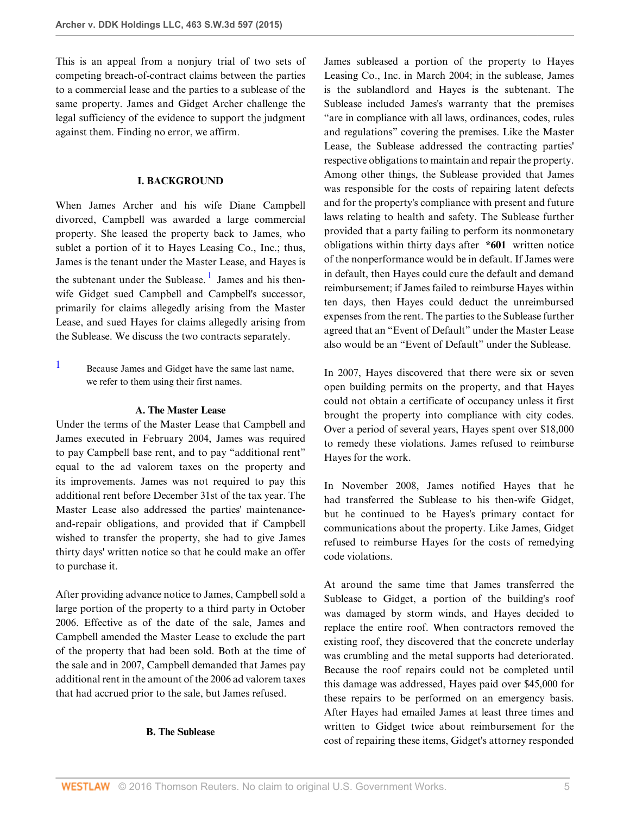This is an appeal from a nonjury trial of two sets of competing breach-of-contract claims between the parties to a commercial lease and the parties to a sublease of the same property. James and Gidget Archer challenge the legal sufficiency of the evidence to support the judgment against them. Finding no error, we affirm.

## <span id="page-4-1"></span>**I. BACKGROUND**

When James Archer and his wife Diane Campbell divorced, Campbell was awarded a large commercial property. She leased the property back to James, who sublet a portion of it to Hayes Leasing Co., Inc.; thus, James is the tenant under the Master Lease, and Hayes is the subtenant under the Sublease.<sup>[1](#page-4-0)</sup> James and his thenwife Gidget sued Campbell and Campbell's successor, primarily for claims allegedly arising from the Master Lease, and sued Hayes for claims allegedly arising from the Sublease. We discuss the two contracts separately.

<span id="page-4-0"></span>[1](#page-4-1) Because James and Gidget have the same last name, we refer to them using their first names.

### **A. The Master Lease**

Under the terms of the Master Lease that Campbell and James executed in February 2004, James was required to pay Campbell base rent, and to pay "additional rent" equal to the ad valorem taxes on the property and its improvements. James was not required to pay this additional rent before December 31st of the tax year. The Master Lease also addressed the parties' maintenanceand-repair obligations, and provided that if Campbell wished to transfer the property, she had to give James thirty days' written notice so that he could make an offer to purchase it.

After providing advance notice to James, Campbell sold a large portion of the property to a third party in October 2006. Effective as of the date of the sale, James and Campbell amended the Master Lease to exclude the part of the property that had been sold. Both at the time of the sale and in 2007, Campbell demanded that James pay additional rent in the amount of the 2006 ad valorem taxes that had accrued prior to the sale, but James refused.

#### **B. The Sublease**

James subleased a portion of the property to Hayes Leasing Co., Inc. in March 2004; in the sublease, James is the sublandlord and Hayes is the subtenant. The Sublease included James's warranty that the premises "are in compliance with all laws, ordinances, codes, rules and regulations" covering the premises. Like the Master Lease, the Sublease addressed the contracting parties' respective obligations to maintain and repair the property. Among other things, the Sublease provided that James was responsible for the costs of repairing latent defects and for the property's compliance with present and future laws relating to health and safety. The Sublease further provided that a party failing to perform its nonmonetary obligations within thirty days after **\*601** written notice of the nonperformance would be in default. If James were in default, then Hayes could cure the default and demand reimbursement; if James failed to reimburse Hayes within ten days, then Hayes could deduct the unreimbursed expenses from the rent. The parties to the Sublease further agreed that an "Event of Default" under the Master Lease also would be an "Event of Default" under the Sublease.

In 2007, Hayes discovered that there were six or seven open building permits on the property, and that Hayes could not obtain a certificate of occupancy unless it first brought the property into compliance with city codes. Over a period of several years, Hayes spent over \$18,000 to remedy these violations. James refused to reimburse Hayes for the work.

In November 2008, James notified Hayes that he had transferred the Sublease to his then-wife Gidget, but he continued to be Hayes's primary contact for communications about the property. Like James, Gidget refused to reimburse Hayes for the costs of remedying code violations.

At around the same time that James transferred the Sublease to Gidget, a portion of the building's roof was damaged by storm winds, and Hayes decided to replace the entire roof. When contractors removed the existing roof, they discovered that the concrete underlay was crumbling and the metal supports had deteriorated. Because the roof repairs could not be completed until this damage was addressed, Hayes paid over \$45,000 for these repairs to be performed on an emergency basis. After Hayes had emailed James at least three times and written to Gidget twice about reimbursement for the cost of repairing these items, Gidget's attorney responded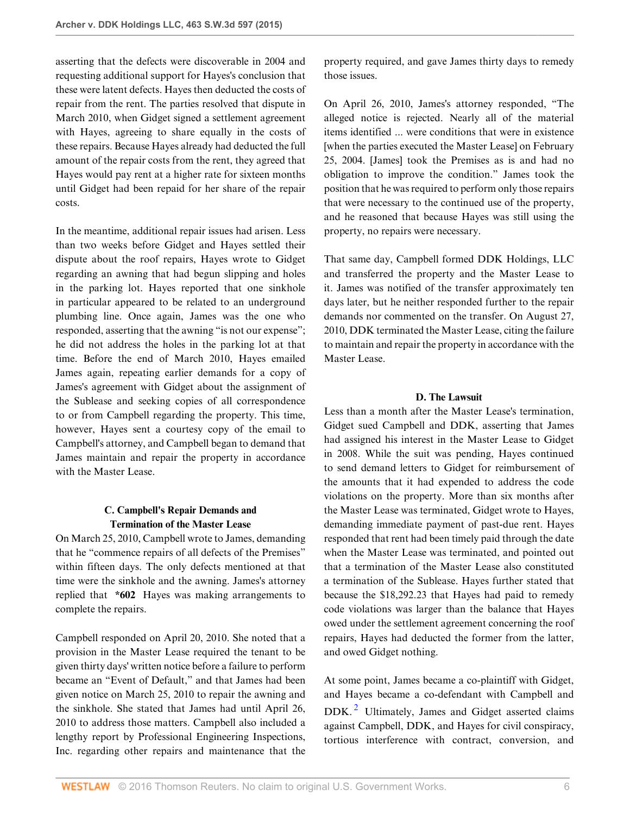asserting that the defects were discoverable in 2004 and requesting additional support for Hayes's conclusion that these were latent defects. Hayes then deducted the costs of repair from the rent. The parties resolved that dispute in March 2010, when Gidget signed a settlement agreement with Hayes, agreeing to share equally in the costs of these repairs. Because Hayes already had deducted the full amount of the repair costs from the rent, they agreed that Hayes would pay rent at a higher rate for sixteen months until Gidget had been repaid for her share of the repair costs.

In the meantime, additional repair issues had arisen. Less than two weeks before Gidget and Hayes settled their dispute about the roof repairs, Hayes wrote to Gidget regarding an awning that had begun slipping and holes in the parking lot. Hayes reported that one sinkhole in particular appeared to be related to an underground plumbing line. Once again, James was the one who responded, asserting that the awning "is not our expense"; he did not address the holes in the parking lot at that time. Before the end of March 2010, Hayes emailed James again, repeating earlier demands for a copy of James's agreement with Gidget about the assignment of the Sublease and seeking copies of all correspondence to or from Campbell regarding the property. This time, however, Hayes sent a courtesy copy of the email to Campbell's attorney, and Campbell began to demand that James maintain and repair the property in accordance with the Master Lease.

## **C. Campbell's Repair Demands and Termination of the Master Lease**

On March 25, 2010, Campbell wrote to James, demanding that he "commence repairs of all defects of the Premises" within fifteen days. The only defects mentioned at that time were the sinkhole and the awning. James's attorney replied that **\*602** Hayes was making arrangements to complete the repairs.

Campbell responded on April 20, 2010. She noted that a provision in the Master Lease required the tenant to be given thirty days' written notice before a failure to perform became an "Event of Default," and that James had been given notice on March 25, 2010 to repair the awning and the sinkhole. She stated that James had until April 26, 2010 to address those matters. Campbell also included a lengthy report by Professional Engineering Inspections, Inc. regarding other repairs and maintenance that the property required, and gave James thirty days to remedy those issues.

On April 26, 2010, James's attorney responded, "The alleged notice is rejected. Nearly all of the material items identified ... were conditions that were in existence [when the parties executed the Master Lease] on February 25, 2004. [James] took the Premises as is and had no obligation to improve the condition." James took the position that he was required to perform only those repairs that were necessary to the continued use of the property, and he reasoned that because Hayes was still using the property, no repairs were necessary.

That same day, Campbell formed DDK Holdings, LLC and transferred the property and the Master Lease to it. James was notified of the transfer approximately ten days later, but he neither responded further to the repair demands nor commented on the transfer. On August 27, 2010, DDK terminated the Master Lease, citing the failure to maintain and repair the property in accordance with the Master Lease.

### **D. The Lawsuit**

Less than a month after the Master Lease's termination, Gidget sued Campbell and DDK, asserting that James had assigned his interest in the Master Lease to Gidget in 2008. While the suit was pending, Hayes continued to send demand letters to Gidget for reimbursement of the amounts that it had expended to address the code violations on the property. More than six months after the Master Lease was terminated, Gidget wrote to Hayes, demanding immediate payment of past-due rent. Hayes responded that rent had been timely paid through the date when the Master Lease was terminated, and pointed out that a termination of the Master Lease also constituted a termination of the Sublease. Hayes further stated that because the \$18,292.23 that Hayes had paid to remedy code violations was larger than the balance that Hayes owed under the settlement agreement concerning the roof repairs, Hayes had deducted the former from the latter, and owed Gidget nothing.

<span id="page-5-0"></span>At some point, James became a co-plaintiff with Gidget, and Hayes became a co-defendant with Campbell and DDK.<sup>[2](#page-6-0)</sup> Ultimately, James and Gidget asserted claims against Campbell, DDK, and Hayes for civil conspiracy, tortious interference with contract, conversion, and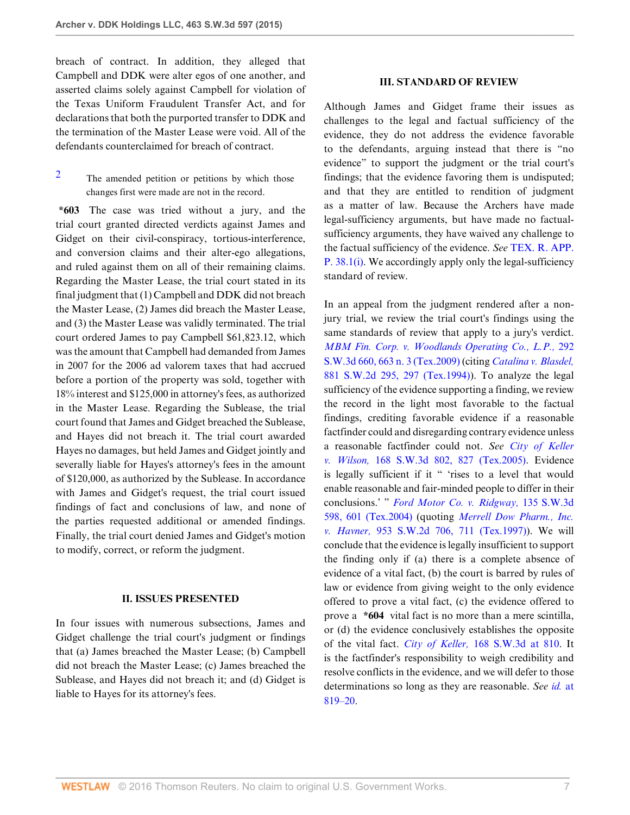breach of contract. In addition, they alleged that Campbell and DDK were alter egos of one another, and asserted claims solely against Campbell for violation of the Texas Uniform Fraudulent Transfer Act, and for declarations that both the purported transfer to DDK and the termination of the Master Lease were void. All of the defendants counterclaimed for breach of contract.

<span id="page-6-0"></span>[2](#page-5-0) The amended petition or petitions by which those changes first were made are not in the record.

**\*603** The case was tried without a jury, and the trial court granted directed verdicts against James and Gidget on their civil-conspiracy, tortious-interference, and conversion claims and their alter-ego allegations, and ruled against them on all of their remaining claims. Regarding the Master Lease, the trial court stated in its final judgment that (1) Campbell and DDK did not breach the Master Lease, (2) James did breach the Master Lease, and (3) the Master Lease was validly terminated. The trial court ordered James to pay Campbell \$61,823.12, which was the amount that Campbell had demanded from James in 2007 for the 2006 ad valorem taxes that had accrued before a portion of the property was sold, together with 18% interest and \$125,000 in attorney's fees, as authorized in the Master Lease. Regarding the Sublease, the trial court found that James and Gidget breached the Sublease, and Hayes did not breach it. The trial court awarded Hayes no damages, but held James and Gidget jointly and severally liable for Hayes's attorney's fees in the amount of \$120,000, as authorized by the Sublease. In accordance with James and Gidget's request, the trial court issued findings of fact and conclusions of law, and none of the parties requested additional or amended findings. Finally, the trial court denied James and Gidget's motion to modify, correct, or reform the judgment.

#### **II. ISSUES PRESENTED**

In four issues with numerous subsections, James and Gidget challenge the trial court's judgment or findings that (a) James breached the Master Lease; (b) Campbell did not breach the Master Lease; (c) James breached the Sublease, and Hayes did not breach it; and (d) Gidget is liable to Hayes for its attorney's fees.

#### **III. STANDARD OF REVIEW**

Although James and Gidget frame their issues as challenges to the legal and factual sufficiency of the evidence, they do not address the evidence favorable to the defendants, arguing instead that there is "no evidence" to support the judgment or the trial court's findings; that the evidence favoring them is undisputed; and that they are entitled to rendition of judgment as a matter of law. Because the Archers have made legal-sufficiency arguments, but have made no factualsufficiency arguments, they have waived any challenge to the factual sufficiency of the evidence. *See* [TEX. R. APP.](http://www.westlaw.com/Link/Document/FullText?findType=L&pubNum=1005293&cite=TXRRAPR38.1&originatingDoc=I7baf9d10d47b11e4829b92275215781c&refType=LQ&originationContext=document&vr=3.0&rs=cblt1.0&transitionType=DocumentItem&contextData=(sc.UserEnteredCitation)) P.  $38.1(i)$ . We accordingly apply only the legal-sufficiency standard of review.

In an appeal from the judgment rendered after a nonjury trial, we review the trial court's findings using the same standards of review that apply to a jury's verdict. *[MBM Fin. Corp. v. Woodlands Operating Co., L.P.,](http://www.westlaw.com/Link/Document/FullText?findType=Y&serNum=2019703256&pubNum=0004644&originatingDoc=I7baf9d10d47b11e4829b92275215781c&refType=RP&fi=co_pp_sp_4644_663&originationContext=document&vr=3.0&rs=cblt1.0&transitionType=DocumentItem&contextData=(sc.UserEnteredCitation)#co_pp_sp_4644_663)* 292 [S.W.3d 660, 663 n. 3 \(Tex.2009\)](http://www.westlaw.com/Link/Document/FullText?findType=Y&serNum=2019703256&pubNum=0004644&originatingDoc=I7baf9d10d47b11e4829b92275215781c&refType=RP&fi=co_pp_sp_4644_663&originationContext=document&vr=3.0&rs=cblt1.0&transitionType=DocumentItem&contextData=(sc.UserEnteredCitation)#co_pp_sp_4644_663) (citing *[Catalina v. Blasdel,](http://www.westlaw.com/Link/Document/FullText?findType=Y&serNum=1994122094&pubNum=0000713&originatingDoc=I7baf9d10d47b11e4829b92275215781c&refType=RP&fi=co_pp_sp_713_297&originationContext=document&vr=3.0&rs=cblt1.0&transitionType=DocumentItem&contextData=(sc.UserEnteredCitation)#co_pp_sp_713_297)* [881 S.W.2d 295, 297 \(Tex.1994\)](http://www.westlaw.com/Link/Document/FullText?findType=Y&serNum=1994122094&pubNum=0000713&originatingDoc=I7baf9d10d47b11e4829b92275215781c&refType=RP&fi=co_pp_sp_713_297&originationContext=document&vr=3.0&rs=cblt1.0&transitionType=DocumentItem&contextData=(sc.UserEnteredCitation)#co_pp_sp_713_297)). To analyze the legal sufficiency of the evidence supporting a finding, we review the record in the light most favorable to the factual findings, crediting favorable evidence if a reasonable factfinder could and disregarding contrary evidence unless a reasonable factfinder could not. *See [City of Keller](http://www.westlaw.com/Link/Document/FullText?findType=Y&serNum=2006777081&pubNum=0004644&originatingDoc=I7baf9d10d47b11e4829b92275215781c&refType=RP&fi=co_pp_sp_4644_827&originationContext=document&vr=3.0&rs=cblt1.0&transitionType=DocumentItem&contextData=(sc.UserEnteredCitation)#co_pp_sp_4644_827) v. Wilson,* [168 S.W.3d 802, 827 \(Tex.2005\)](http://www.westlaw.com/Link/Document/FullText?findType=Y&serNum=2006777081&pubNum=0004644&originatingDoc=I7baf9d10d47b11e4829b92275215781c&refType=RP&fi=co_pp_sp_4644_827&originationContext=document&vr=3.0&rs=cblt1.0&transitionType=DocumentItem&contextData=(sc.UserEnteredCitation)#co_pp_sp_4644_827). Evidence is legally sufficient if it " 'rises to a level that would enable reasonable and fair-minded people to differ in their conclusions.' " *[Ford Motor Co. v. Ridgway,](http://www.westlaw.com/Link/Document/FullText?findType=Y&serNum=2004126158&pubNum=0004644&originatingDoc=I7baf9d10d47b11e4829b92275215781c&refType=RP&fi=co_pp_sp_4644_601&originationContext=document&vr=3.0&rs=cblt1.0&transitionType=DocumentItem&contextData=(sc.UserEnteredCitation)#co_pp_sp_4644_601)* 135 S.W.3d [598, 601 \(Tex.2004\)](http://www.westlaw.com/Link/Document/FullText?findType=Y&serNum=2004126158&pubNum=0004644&originatingDoc=I7baf9d10d47b11e4829b92275215781c&refType=RP&fi=co_pp_sp_4644_601&originationContext=document&vr=3.0&rs=cblt1.0&transitionType=DocumentItem&contextData=(sc.UserEnteredCitation)#co_pp_sp_4644_601) (quoting *[Merrell Dow Pharm., Inc.](http://www.westlaw.com/Link/Document/FullText?findType=Y&serNum=1997145147&pubNum=0000713&originatingDoc=I7baf9d10d47b11e4829b92275215781c&refType=RP&fi=co_pp_sp_713_711&originationContext=document&vr=3.0&rs=cblt1.0&transitionType=DocumentItem&contextData=(sc.UserEnteredCitation)#co_pp_sp_713_711) v. Havner,* [953 S.W.2d 706, 711 \(Tex.1997\)\)](http://www.westlaw.com/Link/Document/FullText?findType=Y&serNum=1997145147&pubNum=0000713&originatingDoc=I7baf9d10d47b11e4829b92275215781c&refType=RP&fi=co_pp_sp_713_711&originationContext=document&vr=3.0&rs=cblt1.0&transitionType=DocumentItem&contextData=(sc.UserEnteredCitation)#co_pp_sp_713_711). We will conclude that the evidence is legally insufficient to support the finding only if (a) there is a complete absence of evidence of a vital fact, (b) the court is barred by rules of law or evidence from giving weight to the only evidence offered to prove a vital fact, (c) the evidence offered to prove a **\*604** vital fact is no more than a mere scintilla, or (d) the evidence conclusively establishes the opposite of the vital fact. *City of Keller,* [168 S.W.3d at 810.](http://www.westlaw.com/Link/Document/FullText?findType=Y&serNum=2006777081&pubNum=0004644&originatingDoc=I7baf9d10d47b11e4829b92275215781c&refType=RP&fi=co_pp_sp_4644_810&originationContext=document&vr=3.0&rs=cblt1.0&transitionType=DocumentItem&contextData=(sc.UserEnteredCitation)#co_pp_sp_4644_810) It is the factfinder's responsibility to weigh credibility and resolve conflicts in the evidence, and we will defer to those determinations so long as they are reasonable. *See id.* [at](http://www.westlaw.com/Link/Document/FullText?findType=Y&serNum=2006777081&pubNum=0004644&originatingDoc=I7baf9d10d47b11e4829b92275215781c&refType=RP&fi=co_pp_sp_4644_819&originationContext=document&vr=3.0&rs=cblt1.0&transitionType=DocumentItem&contextData=(sc.UserEnteredCitation)#co_pp_sp_4644_819) [819–20](http://www.westlaw.com/Link/Document/FullText?findType=Y&serNum=2006777081&pubNum=0004644&originatingDoc=I7baf9d10d47b11e4829b92275215781c&refType=RP&fi=co_pp_sp_4644_819&originationContext=document&vr=3.0&rs=cblt1.0&transitionType=DocumentItem&contextData=(sc.UserEnteredCitation)#co_pp_sp_4644_819).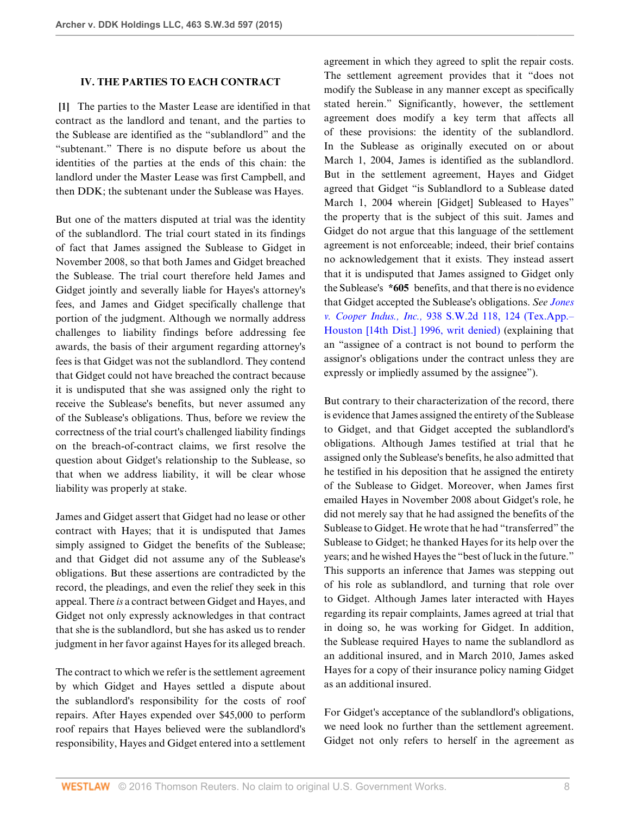### <span id="page-7-0"></span>**IV. THE PARTIES TO EACH CONTRACT**

**[\[1](#page-0-0)]** The parties to the Master Lease are identified in that contract as the landlord and tenant, and the parties to the Sublease are identified as the "sublandlord" and the "subtenant." There is no dispute before us about the identities of the parties at the ends of this chain: the landlord under the Master Lease was first Campbell, and then DDK; the subtenant under the Sublease was Hayes.

But one of the matters disputed at trial was the identity of the sublandlord. The trial court stated in its findings of fact that James assigned the Sublease to Gidget in November 2008, so that both James and Gidget breached the Sublease. The trial court therefore held James and Gidget jointly and severally liable for Hayes's attorney's fees, and James and Gidget specifically challenge that portion of the judgment. Although we normally address challenges to liability findings before addressing fee awards, the basis of their argument regarding attorney's fees is that Gidget was not the sublandlord. They contend that Gidget could not have breached the contract because it is undisputed that she was assigned only the right to receive the Sublease's benefits, but never assumed any of the Sublease's obligations. Thus, before we review the correctness of the trial court's challenged liability findings on the breach-of-contract claims, we first resolve the question about Gidget's relationship to the Sublease, so that when we address liability, it will be clear whose liability was properly at stake.

James and Gidget assert that Gidget had no lease or other contract with Hayes; that it is undisputed that James simply assigned to Gidget the benefits of the Sublease; and that Gidget did not assume any of the Sublease's obligations. But these assertions are contradicted by the record, the pleadings, and even the relief they seek in this appeal. There *is* a contract between Gidget and Hayes, and Gidget not only expressly acknowledges in that contract that she is the sublandlord, but she has asked us to render judgment in her favor against Hayes for its alleged breach.

The contract to which we refer is the settlement agreement by which Gidget and Hayes settled a dispute about the sublandlord's responsibility for the costs of roof repairs. After Hayes expended over \$45,000 to perform roof repairs that Hayes believed were the sublandlord's responsibility, Hayes and Gidget entered into a settlement

agreement in which they agreed to split the repair costs. The settlement agreement provides that it "does not modify the Sublease in any manner except as specifically stated herein." Significantly, however, the settlement agreement does modify a key term that affects all of these provisions: the identity of the sublandlord. In the Sublease as originally executed on or about March 1, 2004, James is identified as the sublandlord. But in the settlement agreement, Hayes and Gidget agreed that Gidget "is Sublandlord to a Sublease dated March 1, 2004 wherein [Gidget] Subleased to Hayes" the property that is the subject of this suit. James and Gidget do not argue that this language of the settlement agreement is not enforceable; indeed, their brief contains no acknowledgement that it exists. They instead assert that it is undisputed that James assigned to Gidget only the Sublease's **\*605** benefits, and that there is no evidence that Gidget accepted the Sublease's obligations. *See [Jones](http://www.westlaw.com/Link/Document/FullText?findType=Y&serNum=1996272224&pubNum=0000713&originatingDoc=I7baf9d10d47b11e4829b92275215781c&refType=RP&fi=co_pp_sp_713_124&originationContext=document&vr=3.0&rs=cblt1.0&transitionType=DocumentItem&contextData=(sc.UserEnteredCitation)#co_pp_sp_713_124) v. Cooper Indus., Inc.,* [938 S.W.2d 118, 124 \(Tex.App.–](http://www.westlaw.com/Link/Document/FullText?findType=Y&serNum=1996272224&pubNum=0000713&originatingDoc=I7baf9d10d47b11e4829b92275215781c&refType=RP&fi=co_pp_sp_713_124&originationContext=document&vr=3.0&rs=cblt1.0&transitionType=DocumentItem&contextData=(sc.UserEnteredCitation)#co_pp_sp_713_124) [Houston \[14th Dist.\] 1996, writ denied\)](http://www.westlaw.com/Link/Document/FullText?findType=Y&serNum=1996272224&pubNum=0000713&originatingDoc=I7baf9d10d47b11e4829b92275215781c&refType=RP&fi=co_pp_sp_713_124&originationContext=document&vr=3.0&rs=cblt1.0&transitionType=DocumentItem&contextData=(sc.UserEnteredCitation)#co_pp_sp_713_124) (explaining that an "assignee of a contract is not bound to perform the assignor's obligations under the contract unless they are expressly or impliedly assumed by the assignee").

But contrary to their characterization of the record, there is evidence that James assigned the entirety of the Sublease to Gidget, and that Gidget accepted the sublandlord's obligations. Although James testified at trial that he assigned only the Sublease's benefits, he also admitted that he testified in his deposition that he assigned the entirety of the Sublease to Gidget. Moreover, when James first emailed Hayes in November 2008 about Gidget's role, he did not merely say that he had assigned the benefits of the Sublease to Gidget. He wrote that he had "transferred" the Sublease to Gidget; he thanked Hayes for its help over the years; and he wished Hayes the "best of luck in the future." This supports an inference that James was stepping out of his role as sublandlord, and turning that role over to Gidget. Although James later interacted with Hayes regarding its repair complaints, James agreed at trial that in doing so, he was working for Gidget. In addition, the Sublease required Hayes to name the sublandlord as an additional insured, and in March 2010, James asked Hayes for a copy of their insurance policy naming Gidget as an additional insured.

For Gidget's acceptance of the sublandlord's obligations, we need look no further than the settlement agreement. Gidget not only refers to herself in the agreement as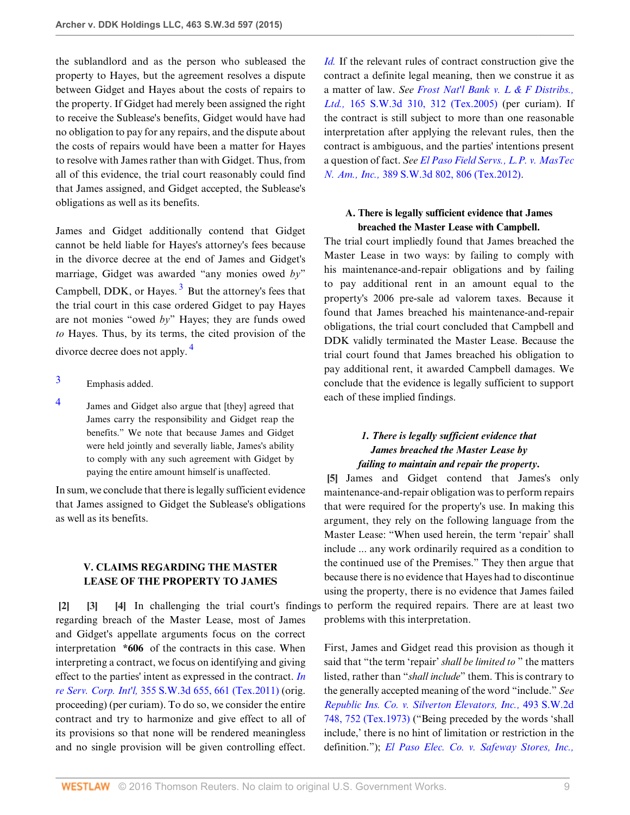the sublandlord and as the person who subleased the property to Hayes, but the agreement resolves a dispute between Gidget and Hayes about the costs of repairs to the property. If Gidget had merely been assigned the right to receive the Sublease's benefits, Gidget would have had no obligation to pay for any repairs, and the dispute about the costs of repairs would have been a matter for Hayes to resolve with James rather than with Gidget. Thus, from all of this evidence, the trial court reasonably could find that James assigned, and Gidget accepted, the Sublease's obligations as well as its benefits.

<span id="page-8-6"></span>James and Gidget additionally contend that Gidget cannot be held liable for Hayes's attorney's fees because in the divorce decree at the end of James and Gidget's marriage, Gidget was awarded "any monies owed *by*" Campbell,  $DDK$ , or Hayes.<sup>[3](#page-8-4)</sup> But the attorney's fees that the trial court in this case ordered Gidget to pay Hayes are not monies "owed *by*" Hayes; they are funds owed *to* Hayes. Thus, by its terms, the cited provision of the divorce decree does not apply. [4](#page-8-5)

- <span id="page-8-7"></span><span id="page-8-4"></span>[3](#page-8-6) Emphasis added.
- <span id="page-8-5"></span>[4](#page-8-7) James and Gidget also argue that [they] agreed that James carry the responsibility and Gidget reap the benefits." We note that because James and Gidget were held jointly and severally liable, James's ability to comply with any such agreement with Gidget by paying the entire amount himself is unaffected.

In sum, we conclude that there is legally sufficient evidence that James assigned to Gidget the Sublease's obligations as well as its benefits.

## <span id="page-8-2"></span><span id="page-8-1"></span>**V. CLAIMS REGARDING THE MASTER LEASE OF THE PROPERTY TO JAMES**

<span id="page-8-0"></span>**[\[2](#page-1-1)] [\[3](#page-1-2)] [\[4](#page-1-3)]** In challenging the trial court's findings regarding breach of the Master Lease, most of James and Gidget's appellate arguments focus on the correct interpretation **\*606** of the contracts in this case. When interpreting a contract, we focus on identifying and giving effect to the parties' intent as expressed in the contract. *[In](http://www.westlaw.com/Link/Document/FullText?findType=Y&serNum=2026695503&pubNum=0004644&originatingDoc=I7baf9d10d47b11e4829b92275215781c&refType=RP&fi=co_pp_sp_4644_661&originationContext=document&vr=3.0&rs=cblt1.0&transitionType=DocumentItem&contextData=(sc.UserEnteredCitation)#co_pp_sp_4644_661) re Serv. Corp. Int'l,* [355 S.W.3d 655, 661 \(Tex.2011\)](http://www.westlaw.com/Link/Document/FullText?findType=Y&serNum=2026695503&pubNum=0004644&originatingDoc=I7baf9d10d47b11e4829b92275215781c&refType=RP&fi=co_pp_sp_4644_661&originationContext=document&vr=3.0&rs=cblt1.0&transitionType=DocumentItem&contextData=(sc.UserEnteredCitation)#co_pp_sp_4644_661) (orig. proceeding) (per curiam). To do so, we consider the entire contract and try to harmonize and give effect to all of its provisions so that none will be rendered meaningless and no single provision will be given controlling effect.

*[Id.](http://www.westlaw.com/Link/Document/FullText?findType=Y&serNum=2026695503&pubNum=0004644&originatingDoc=I7baf9d10d47b11e4829b92275215781c&refType=RP&originationContext=document&vr=3.0&rs=cblt1.0&transitionType=DocumentItem&contextData=(sc.UserEnteredCitation))* If the relevant rules of contract construction give the contract a definite legal meaning, then we construe it as a matter of law. *See [Frost Nat'l Bank v. L & F Distribs.,](http://www.westlaw.com/Link/Document/FullText?findType=Y&serNum=2006680925&pubNum=0004644&originatingDoc=I7baf9d10d47b11e4829b92275215781c&refType=RP&fi=co_pp_sp_4644_312&originationContext=document&vr=3.0&rs=cblt1.0&transitionType=DocumentItem&contextData=(sc.UserEnteredCitation)#co_pp_sp_4644_312) Ltd.,* [165 S.W.3d 310, 312 \(Tex.2005\)](http://www.westlaw.com/Link/Document/FullText?findType=Y&serNum=2006680925&pubNum=0004644&originatingDoc=I7baf9d10d47b11e4829b92275215781c&refType=RP&fi=co_pp_sp_4644_312&originationContext=document&vr=3.0&rs=cblt1.0&transitionType=DocumentItem&contextData=(sc.UserEnteredCitation)#co_pp_sp_4644_312) (per curiam). If the contract is still subject to more than one reasonable interpretation after applying the relevant rules, then the contract is ambiguous, and the parties' intentions present a question of fact. *See [El Paso Field Servs., L.P. v. MasTec](http://www.westlaw.com/Link/Document/FullText?findType=Y&serNum=2029490555&pubNum=0004644&originatingDoc=I7baf9d10d47b11e4829b92275215781c&refType=RP&fi=co_pp_sp_4644_806&originationContext=document&vr=3.0&rs=cblt1.0&transitionType=DocumentItem&contextData=(sc.UserEnteredCitation)#co_pp_sp_4644_806) N. Am., Inc.,* [389 S.W.3d 802, 806 \(Tex.2012\)](http://www.westlaw.com/Link/Document/FullText?findType=Y&serNum=2029490555&pubNum=0004644&originatingDoc=I7baf9d10d47b11e4829b92275215781c&refType=RP&fi=co_pp_sp_4644_806&originationContext=document&vr=3.0&rs=cblt1.0&transitionType=DocumentItem&contextData=(sc.UserEnteredCitation)#co_pp_sp_4644_806).

## **A. There is legally sufficient evidence that James breached the Master Lease with Campbell.**

The trial court impliedly found that James breached the Master Lease in two ways: by failing to comply with his maintenance-and-repair obligations and by failing to pay additional rent in an amount equal to the property's 2006 pre-sale ad valorem taxes. Because it found that James breached his maintenance-and-repair obligations, the trial court concluded that Campbell and DDK validly terminated the Master Lease. Because the trial court found that James breached his obligation to pay additional rent, it awarded Campbell damages. We conclude that the evidence is legally sufficient to support each of these implied findings.

## *1. There is legally sufficient evidence that James breached the Master Lease by failing to maintain and repair the property.*

<span id="page-8-3"></span>**[\[5](#page-1-0)]** James and Gidget contend that James's only maintenance-and-repair obligation was to perform repairs that were required for the property's use. In making this argument, they rely on the following language from the Master Lease: "When used herein, the term 'repair' shall include ... any work ordinarily required as a condition to the continued use of the Premises." They then argue that because there is no evidence that Hayes had to discontinue using the property, there is no evidence that James failed to perform the required repairs. There are at least two problems with this interpretation.

First, James and Gidget read this provision as though it said that "the term 'repair' *shall be limited to* " the matters listed, rather than "*shall include*" them. This is contrary to the generally accepted meaning of the word "include." *See [Republic Ins. Co. v. Silverton Elevators, Inc.,](http://www.westlaw.com/Link/Document/FullText?findType=Y&serNum=1973130155&pubNum=0000713&originatingDoc=I7baf9d10d47b11e4829b92275215781c&refType=RP&fi=co_pp_sp_713_752&originationContext=document&vr=3.0&rs=cblt1.0&transitionType=DocumentItem&contextData=(sc.UserEnteredCitation)#co_pp_sp_713_752)* 493 S.W.2d [748, 752 \(Tex.1973\)](http://www.westlaw.com/Link/Document/FullText?findType=Y&serNum=1973130155&pubNum=0000713&originatingDoc=I7baf9d10d47b11e4829b92275215781c&refType=RP&fi=co_pp_sp_713_752&originationContext=document&vr=3.0&rs=cblt1.0&transitionType=DocumentItem&contextData=(sc.UserEnteredCitation)#co_pp_sp_713_752) ("Being preceded by the words 'shall include,' there is no hint of limitation or restriction in the definition."); *[El Paso Elec. Co. v. Safeway Stores, Inc.,](http://www.westlaw.com/Link/Document/FullText?findType=Y&serNum=1953122302&pubNum=0000713&originatingDoc=I7baf9d10d47b11e4829b92275215781c&refType=RP&fi=co_pp_sp_713_506&originationContext=document&vr=3.0&rs=cblt1.0&transitionType=DocumentItem&contextData=(sc.UserEnteredCitation)#co_pp_sp_713_506)*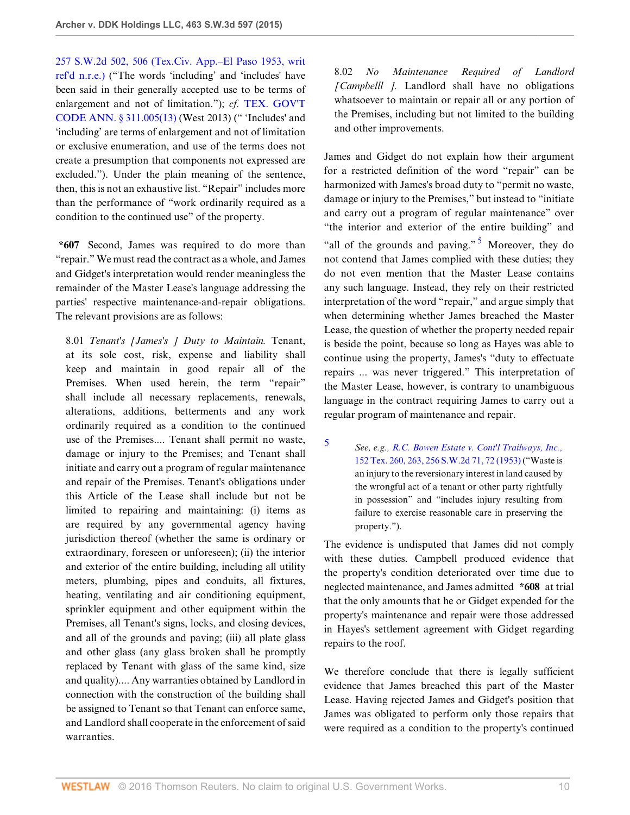[257 S.W.2d 502, 506 \(Tex.Civ. App.–El Paso 1953, writ](http://www.westlaw.com/Link/Document/FullText?findType=Y&serNum=1953122302&pubNum=0000713&originatingDoc=I7baf9d10d47b11e4829b92275215781c&refType=RP&fi=co_pp_sp_713_506&originationContext=document&vr=3.0&rs=cblt1.0&transitionType=DocumentItem&contextData=(sc.UserEnteredCitation)#co_pp_sp_713_506) [ref'd n.r.e.\)](http://www.westlaw.com/Link/Document/FullText?findType=Y&serNum=1953122302&pubNum=0000713&originatingDoc=I7baf9d10d47b11e4829b92275215781c&refType=RP&fi=co_pp_sp_713_506&originationContext=document&vr=3.0&rs=cblt1.0&transitionType=DocumentItem&contextData=(sc.UserEnteredCitation)#co_pp_sp_713_506) ("The words 'including' and 'includes' have been said in their generally accepted use to be terms of enlargement and not of limitation."); *cf.* [TEX. GOV'T](http://www.westlaw.com/Link/Document/FullText?findType=L&pubNum=1000176&cite=TXGTS311.005&originatingDoc=I7baf9d10d47b11e4829b92275215781c&refType=SP&originationContext=document&vr=3.0&rs=cblt1.0&transitionType=DocumentItem&contextData=(sc.UserEnteredCitation)#co_pp_aac5000007ec7) [CODE ANN. § 311.005\(13\)](http://www.westlaw.com/Link/Document/FullText?findType=L&pubNum=1000176&cite=TXGTS311.005&originatingDoc=I7baf9d10d47b11e4829b92275215781c&refType=SP&originationContext=document&vr=3.0&rs=cblt1.0&transitionType=DocumentItem&contextData=(sc.UserEnteredCitation)#co_pp_aac5000007ec7) (West 2013) (" 'Includes' and 'including' are terms of enlargement and not of limitation or exclusive enumeration, and use of the terms does not create a presumption that components not expressed are excluded."). Under the plain meaning of the sentence, then, this is not an exhaustive list. "Repair" includes more than the performance of "work ordinarily required as a condition to the continued use" of the property.

**\*607** Second, James was required to do more than "repair." We must read the contract as a whole, and James and Gidget's interpretation would render meaningless the remainder of the Master Lease's language addressing the parties' respective maintenance-and-repair obligations. The relevant provisions are as follows:

8.01 *Tenant's [James's ] Duty to Maintain.* Tenant, at its sole cost, risk, expense and liability shall keep and maintain in good repair all of the Premises. When used herein, the term "repair" shall include all necessary replacements, renewals, alterations, additions, betterments and any work ordinarily required as a condition to the continued use of the Premises.... Tenant shall permit no waste, damage or injury to the Premises; and Tenant shall initiate and carry out a program of regular maintenance and repair of the Premises. Tenant's obligations under this Article of the Lease shall include but not be limited to repairing and maintaining: (i) items as are required by any governmental agency having jurisdiction thereof (whether the same is ordinary or extraordinary, foreseen or unforeseen); (ii) the interior and exterior of the entire building, including all utility meters, plumbing, pipes and conduits, all fixtures, heating, ventilating and air conditioning equipment, sprinkler equipment and other equipment within the Premises, all Tenant's signs, locks, and closing devices, and all of the grounds and paving; (iii) all plate glass and other glass (any glass broken shall be promptly replaced by Tenant with glass of the same kind, size and quality).... Any warranties obtained by Landlord in connection with the construction of the building shall be assigned to Tenant so that Tenant can enforce same, and Landlord shall cooperate in the enforcement of said warranties.

8.02 *No Maintenance Required of Landlord [Campbelll ].* Landlord shall have no obligations whatsoever to maintain or repair all or any portion of the Premises, including but not limited to the building and other improvements.

<span id="page-9-1"></span>James and Gidget do not explain how their argument for a restricted definition of the word "repair" can be harmonized with James's broad duty to "permit no waste, damage or injury to the Premises," but instead to "initiate and carry out a program of regular maintenance" over "the interior and exterior of the entire building" and "all of the grounds and paving."  $\frac{5}{3}$  $\frac{5}{3}$  $\frac{5}{3}$  Moreover, they do not contend that James complied with these duties; they do not even mention that the Master Lease contains any such language. Instead, they rely on their restricted interpretation of the word "repair," and argue simply that when determining whether James breached the Master Lease, the question of whether the property needed repair is beside the point, because so long as Hayes was able to continue using the property, James's "duty to effectuate repairs ... was never triggered." This interpretation of the Master Lease, however, is contrary to unambiguous language in the contract requiring James to carry out a regular program of maintenance and repair.

<span id="page-9-0"></span>[5](#page-9-1) *See, e.g., [R.C. Bowen Estate v. Cont'l Trailways, Inc.,](http://www.westlaw.com/Link/Document/FullText?findType=Y&serNum=1953102009&pubNum=0000713&originatingDoc=I7baf9d10d47b11e4829b92275215781c&refType=RP&fi=co_pp_sp_713_72&originationContext=document&vr=3.0&rs=cblt1.0&transitionType=DocumentItem&contextData=(sc.UserEnteredCitation)#co_pp_sp_713_72)* [152 Tex. 260, 263, 256 S.W.2d 71, 72 \(1953\)](http://www.westlaw.com/Link/Document/FullText?findType=Y&serNum=1953102009&pubNum=0000713&originatingDoc=I7baf9d10d47b11e4829b92275215781c&refType=RP&fi=co_pp_sp_713_72&originationContext=document&vr=3.0&rs=cblt1.0&transitionType=DocumentItem&contextData=(sc.UserEnteredCitation)#co_pp_sp_713_72) ("Waste is an injury to the reversionary interest in land caused by the wrongful act of a tenant or other party rightfully in possession" and "includes injury resulting from failure to exercise reasonable care in preserving the property.").

The evidence is undisputed that James did not comply with these duties. Campbell produced evidence that the property's condition deteriorated over time due to neglected maintenance, and James admitted **\*608** at trial that the only amounts that he or Gidget expended for the property's maintenance and repair were those addressed in Hayes's settlement agreement with Gidget regarding repairs to the roof.

We therefore conclude that there is legally sufficient evidence that James breached this part of the Master Lease. Having rejected James and Gidget's position that James was obligated to perform only those repairs that were required as a condition to the property's continued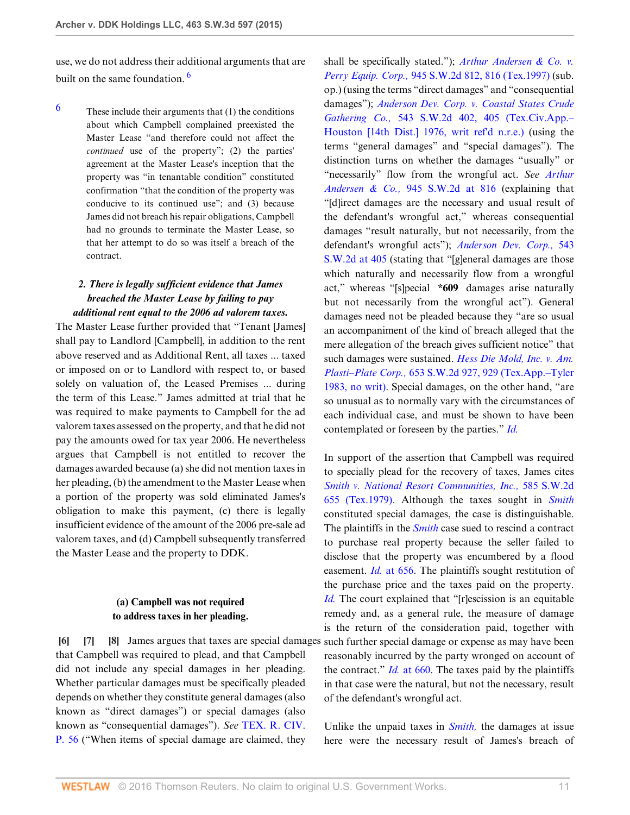<span id="page-10-4"></span>use, we do not address their additional arguments that are built on the same foundation.<sup>[6](#page-10-3)</sup>

<span id="page-10-3"></span> $6$  These include their arguments that (1) the conditions about which Campbell complained preexisted the Master Lease "and therefore could not affect the *continued* use of the property"; (2) the parties' agreement at the Master Lease's inception that the property was "in tenantable condition" constituted confirmation "that the condition of the property was conducive to its continued use"; and (3) because James did not breach his repair obligations, Campbell had no grounds to terminate the Master Lease, so that her attempt to do so was itself a breach of the contract.

## *2. There is legally sufficient evidence that James breached the Master Lease by failing to pay additional rent equal to the 2006 ad valorem taxes.*

The Master Lease further provided that "Tenant [James] shall pay to Landlord [Campbell], in addition to the rent above reserved and as Additional Rent, all taxes ... taxed or imposed on or to Landlord with respect to, or based solely on valuation of, the Leased Premises ... during the term of this Lease." James admitted at trial that he was required to make payments to Campbell for the ad valorem taxes assessed on the property, and that he did not pay the amounts owed for tax year 2006. He nevertheless argues that Campbell is not entitled to recover the damages awarded because (a) she did not mention taxes in her pleading, (b) the amendment to the Master Lease when a portion of the property was sold eliminated James's obligation to make this payment, (c) there is legally insufficient evidence of the amount of the 2006 pre-sale ad valorem taxes, and (d) Campbell subsequently transferred the Master Lease and the property to DDK.

### <span id="page-10-2"></span><span id="page-10-1"></span>**(a) Campbell was not required to address taxes in her pleading.**

<span id="page-10-0"></span>**[\[6](#page-1-4)] [\[7\]](#page-2-2) [\[8](#page-2-3)]** James argues that taxes are special damages that Campbell was required to plead, and that Campbell did not include any special damages in her pleading. Whether particular damages must be specifically pleaded depends on whether they constitute general damages (also known as "direct damages") or special damages (also known as "consequential damages"). *See* [TEX. R. CIV.](http://www.westlaw.com/Link/Document/FullText?findType=L&pubNum=1003817&cite=TXRRCPR56&originatingDoc=I7baf9d10d47b11e4829b92275215781c&refType=LQ&originationContext=document&vr=3.0&rs=cblt1.0&transitionType=DocumentItem&contextData=(sc.UserEnteredCitation)) [P. 56](http://www.westlaw.com/Link/Document/FullText?findType=L&pubNum=1003817&cite=TXRRCPR56&originatingDoc=I7baf9d10d47b11e4829b92275215781c&refType=LQ&originationContext=document&vr=3.0&rs=cblt1.0&transitionType=DocumentItem&contextData=(sc.UserEnteredCitation)) ("When items of special damage are claimed, they

shall be specifically stated."); *[Arthur Andersen & Co. v.](http://www.westlaw.com/Link/Document/FullText?findType=Y&serNum=1997110555&pubNum=0000713&originatingDoc=I7baf9d10d47b11e4829b92275215781c&refType=RP&fi=co_pp_sp_713_816&originationContext=document&vr=3.0&rs=cblt1.0&transitionType=DocumentItem&contextData=(sc.UserEnteredCitation)#co_pp_sp_713_816) Perry Equip. Corp.,* [945 S.W.2d 812, 816 \(Tex.1997\)](http://www.westlaw.com/Link/Document/FullText?findType=Y&serNum=1997110555&pubNum=0000713&originatingDoc=I7baf9d10d47b11e4829b92275215781c&refType=RP&fi=co_pp_sp_713_816&originationContext=document&vr=3.0&rs=cblt1.0&transitionType=DocumentItem&contextData=(sc.UserEnteredCitation)#co_pp_sp_713_816) (sub. op.) (using the terms "direct damages" and "consequential damages"); *[Anderson Dev. Corp. v. Coastal States Crude](http://www.westlaw.com/Link/Document/FullText?findType=Y&serNum=1976138089&pubNum=0000713&originatingDoc=I7baf9d10d47b11e4829b92275215781c&refType=RP&fi=co_pp_sp_713_405&originationContext=document&vr=3.0&rs=cblt1.0&transitionType=DocumentItem&contextData=(sc.UserEnteredCitation)#co_pp_sp_713_405) Gathering Co.,* [543 S.W.2d 402, 405 \(Tex.Civ.App.–](http://www.westlaw.com/Link/Document/FullText?findType=Y&serNum=1976138089&pubNum=0000713&originatingDoc=I7baf9d10d47b11e4829b92275215781c&refType=RP&fi=co_pp_sp_713_405&originationContext=document&vr=3.0&rs=cblt1.0&transitionType=DocumentItem&contextData=(sc.UserEnteredCitation)#co_pp_sp_713_405) [Houston \[14th Dist.\] 1976, writ ref'd n.r.e.\)](http://www.westlaw.com/Link/Document/FullText?findType=Y&serNum=1976138089&pubNum=0000713&originatingDoc=I7baf9d10d47b11e4829b92275215781c&refType=RP&fi=co_pp_sp_713_405&originationContext=document&vr=3.0&rs=cblt1.0&transitionType=DocumentItem&contextData=(sc.UserEnteredCitation)#co_pp_sp_713_405) (using the terms "general damages" and "special damages"). The distinction turns on whether the damages "usually" or "necessarily" flow from the wrongful act. *See [Arthur](http://www.westlaw.com/Link/Document/FullText?findType=Y&serNum=1997110555&pubNum=0000713&originatingDoc=I7baf9d10d47b11e4829b92275215781c&refType=RP&fi=co_pp_sp_713_816&originationContext=document&vr=3.0&rs=cblt1.0&transitionType=DocumentItem&contextData=(sc.UserEnteredCitation)#co_pp_sp_713_816) Andersen & Co.,* [945 S.W.2d at 816](http://www.westlaw.com/Link/Document/FullText?findType=Y&serNum=1997110555&pubNum=0000713&originatingDoc=I7baf9d10d47b11e4829b92275215781c&refType=RP&fi=co_pp_sp_713_816&originationContext=document&vr=3.0&rs=cblt1.0&transitionType=DocumentItem&contextData=(sc.UserEnteredCitation)#co_pp_sp_713_816) (explaining that "[d]irect damages are the necessary and usual result of the defendant's wrongful act," whereas consequential damages "result naturally, but not necessarily, from the defendant's wrongful acts"); *[Anderson Dev. Corp.,](http://www.westlaw.com/Link/Document/FullText?findType=Y&serNum=1976138089&pubNum=0000713&originatingDoc=I7baf9d10d47b11e4829b92275215781c&refType=RP&fi=co_pp_sp_713_405&originationContext=document&vr=3.0&rs=cblt1.0&transitionType=DocumentItem&contextData=(sc.UserEnteredCitation)#co_pp_sp_713_405)* 543 [S.W.2d at 405](http://www.westlaw.com/Link/Document/FullText?findType=Y&serNum=1976138089&pubNum=0000713&originatingDoc=I7baf9d10d47b11e4829b92275215781c&refType=RP&fi=co_pp_sp_713_405&originationContext=document&vr=3.0&rs=cblt1.0&transitionType=DocumentItem&contextData=(sc.UserEnteredCitation)#co_pp_sp_713_405) (stating that "[g]eneral damages are those which naturally and necessarily flow from a wrongful act," whereas "[s]pecial **\*609** damages arise naturally but not necessarily from the wrongful act"). General damages need not be pleaded because they "are so usual an accompaniment of the kind of breach alleged that the mere allegation of the breach gives sufficient notice" that such damages were sustained. *[Hess Die Mold, Inc. v. Am.](http://www.westlaw.com/Link/Document/FullText?findType=Y&serNum=1983133720&pubNum=0000713&originatingDoc=I7baf9d10d47b11e4829b92275215781c&refType=RP&fi=co_pp_sp_713_929&originationContext=document&vr=3.0&rs=cblt1.0&transitionType=DocumentItem&contextData=(sc.UserEnteredCitation)#co_pp_sp_713_929) Plasti–Plate Corp.,* [653 S.W.2d 927, 929 \(Tex.App.–Tyler](http://www.westlaw.com/Link/Document/FullText?findType=Y&serNum=1983133720&pubNum=0000713&originatingDoc=I7baf9d10d47b11e4829b92275215781c&refType=RP&fi=co_pp_sp_713_929&originationContext=document&vr=3.0&rs=cblt1.0&transitionType=DocumentItem&contextData=(sc.UserEnteredCitation)#co_pp_sp_713_929) [1983, no writ\)](http://www.westlaw.com/Link/Document/FullText?findType=Y&serNum=1983133720&pubNum=0000713&originatingDoc=I7baf9d10d47b11e4829b92275215781c&refType=RP&fi=co_pp_sp_713_929&originationContext=document&vr=3.0&rs=cblt1.0&transitionType=DocumentItem&contextData=(sc.UserEnteredCitation)#co_pp_sp_713_929). Special damages, on the other hand, "are so unusual as to normally vary with the circumstances of each individual case, and must be shown to have been contemplated or foreseen by the parties." *[Id.](http://www.westlaw.com/Link/Document/FullText?findType=Y&serNum=1983133720&pubNum=0000713&originatingDoc=I7baf9d10d47b11e4829b92275215781c&refType=RP&originationContext=document&vr=3.0&rs=cblt1.0&transitionType=DocumentItem&contextData=(sc.UserEnteredCitation))*

In support of the assertion that Campbell was required to specially plead for the recovery of taxes, James cites *[Smith v. National Resort Communities, Inc.,](http://www.westlaw.com/Link/Document/FullText?findType=Y&serNum=1979130724&pubNum=0000713&originatingDoc=I7baf9d10d47b11e4829b92275215781c&refType=RP&originationContext=document&vr=3.0&rs=cblt1.0&transitionType=DocumentItem&contextData=(sc.UserEnteredCitation))* 585 S.W.2d [655 \(Tex.1979\)](http://www.westlaw.com/Link/Document/FullText?findType=Y&serNum=1979130724&pubNum=0000713&originatingDoc=I7baf9d10d47b11e4829b92275215781c&refType=RP&originationContext=document&vr=3.0&rs=cblt1.0&transitionType=DocumentItem&contextData=(sc.UserEnteredCitation)). Although the taxes sought in *[Smith](http://www.westlaw.com/Link/Document/FullText?findType=Y&serNum=1979130724&pubNum=0000713&originatingDoc=I7baf9d10d47b11e4829b92275215781c&refType=RP&originationContext=document&vr=3.0&rs=cblt1.0&transitionType=DocumentItem&contextData=(sc.UserEnteredCitation))* constituted special damages, the case is distinguishable. The plaintiffs in the *[Smith](http://www.westlaw.com/Link/Document/FullText?findType=Y&serNum=1979130724&pubNum=0000713&originatingDoc=I7baf9d10d47b11e4829b92275215781c&refType=RP&originationContext=document&vr=3.0&rs=cblt1.0&transitionType=DocumentItem&contextData=(sc.UserEnteredCitation))* case sued to rescind a contract to purchase real property because the seller failed to disclose that the property was encumbered by a flood easement. *Id.* [at 656.](http://www.westlaw.com/Link/Document/FullText?findType=Y&serNum=1979130724&pubNum=0000713&originatingDoc=I7baf9d10d47b11e4829b92275215781c&refType=RP&fi=co_pp_sp_713_656&originationContext=document&vr=3.0&rs=cblt1.0&transitionType=DocumentItem&contextData=(sc.UserEnteredCitation)#co_pp_sp_713_656) The plaintiffs sought restitution of the purchase price and the taxes paid on the property. *[Id.](http://www.westlaw.com/Link/Document/FullText?findType=Y&serNum=1979130724&pubNum=0000713&originatingDoc=I7baf9d10d47b11e4829b92275215781c&refType=RP&originationContext=document&vr=3.0&rs=cblt1.0&transitionType=DocumentItem&contextData=(sc.UserEnteredCitation))* The court explained that "[r]escission is an equitable remedy and, as a general rule, the measure of damage is the return of the consideration paid, together with such further special damage or expense as may have been reasonably incurred by the party wronged on account of the contract." *Id.* [at 660](http://www.westlaw.com/Link/Document/FullText?findType=Y&serNum=1979130724&pubNum=0000713&originatingDoc=I7baf9d10d47b11e4829b92275215781c&refType=RP&fi=co_pp_sp_713_660&originationContext=document&vr=3.0&rs=cblt1.0&transitionType=DocumentItem&contextData=(sc.UserEnteredCitation)#co_pp_sp_713_660). The taxes paid by the plaintiffs in that case were the natural, but not the necessary, result of the defendant's wrongful act.

Unlike the unpaid taxes in *[Smith,](http://www.westlaw.com/Link/Document/FullText?findType=Y&serNum=1979130724&pubNum=0000713&originatingDoc=I7baf9d10d47b11e4829b92275215781c&refType=RP&originationContext=document&vr=3.0&rs=cblt1.0&transitionType=DocumentItem&contextData=(sc.UserEnteredCitation))* the damages at issue here were the necessary result of James's breach of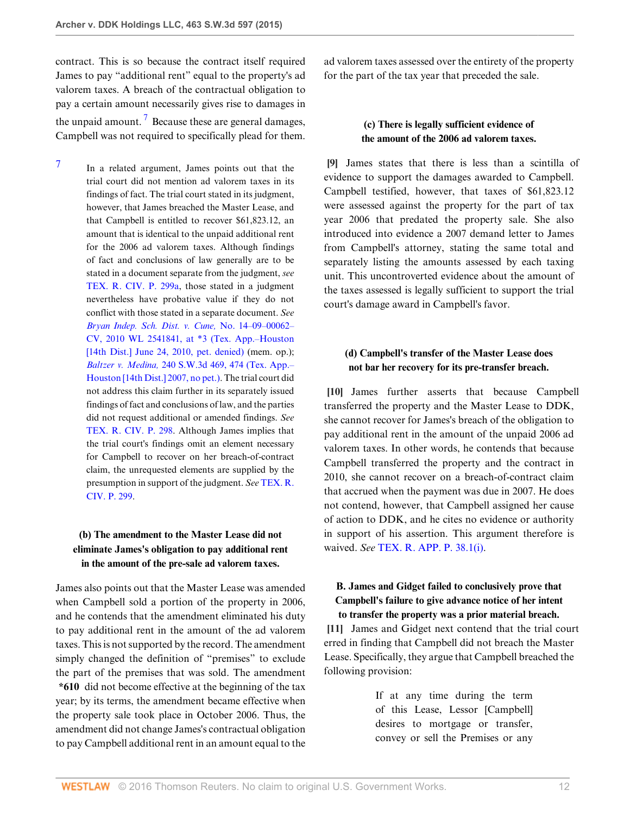contract. This is so because the contract itself required James to pay "additional rent" equal to the property's ad valorem taxes. A breach of the contractual obligation to pay a certain amount necessarily gives rise to damages in the unpaid amount.<sup>[7](#page-11-3)</sup> Because these are general damages, Campbell was not required to specifically plead for them.

<span id="page-11-4"></span><span id="page-11-3"></span>[7](#page-11-4) In a related argument, James points out that the trial court did not mention ad valorem taxes in its findings of fact. The trial court stated in its judgment, however, that James breached the Master Lease, and that Campbell is entitled to recover \$61,823.12, an amount that is identical to the unpaid additional rent for the 2006 ad valorem taxes. Although findings of fact and conclusions of law generally are to be stated in a document separate from the judgment, *see* [TEX. R. CIV. P. 299a](http://www.westlaw.com/Link/Document/FullText?findType=L&pubNum=1003817&cite=TXRRCPR299A&originatingDoc=I7baf9d10d47b11e4829b92275215781c&refType=LQ&originationContext=document&vr=3.0&rs=cblt1.0&transitionType=DocumentItem&contextData=(sc.UserEnteredCitation)), those stated in a judgment nevertheless have probative value if they do not conflict with those stated in a separate document. *See [Bryan Indep. Sch. Dist. v. Cune,](http://www.westlaw.com/Link/Document/FullText?findType=Y&serNum=2022385071&pubNum=0000999&originatingDoc=I7baf9d10d47b11e4829b92275215781c&refType=RP&originationContext=document&vr=3.0&rs=cblt1.0&transitionType=DocumentItem&contextData=(sc.UserEnteredCitation))* No. 14–09–00062– [CV, 2010 WL 2541841, at \\*3 \(Tex. App.–Houston](http://www.westlaw.com/Link/Document/FullText?findType=Y&serNum=2022385071&pubNum=0000999&originatingDoc=I7baf9d10d47b11e4829b92275215781c&refType=RP&originationContext=document&vr=3.0&rs=cblt1.0&transitionType=DocumentItem&contextData=(sc.UserEnteredCitation)) [\[14th Dist.\] June 24, 2010, pet. denied\)](http://www.westlaw.com/Link/Document/FullText?findType=Y&serNum=2022385071&pubNum=0000999&originatingDoc=I7baf9d10d47b11e4829b92275215781c&refType=RP&originationContext=document&vr=3.0&rs=cblt1.0&transitionType=DocumentItem&contextData=(sc.UserEnteredCitation)) (mem. op.); *Baltzer v. Medina,* [240 S.W.3d 469, 474 \(Tex. App.–](http://www.westlaw.com/Link/Document/FullText?findType=Y&serNum=2013831342&pubNum=0004644&originatingDoc=I7baf9d10d47b11e4829b92275215781c&refType=RP&fi=co_pp_sp_4644_474&originationContext=document&vr=3.0&rs=cblt1.0&transitionType=DocumentItem&contextData=(sc.UserEnteredCitation)#co_pp_sp_4644_474) [Houston \[14th Dist.\] 2007, no pet.\).](http://www.westlaw.com/Link/Document/FullText?findType=Y&serNum=2013831342&pubNum=0004644&originatingDoc=I7baf9d10d47b11e4829b92275215781c&refType=RP&fi=co_pp_sp_4644_474&originationContext=document&vr=3.0&rs=cblt1.0&transitionType=DocumentItem&contextData=(sc.UserEnteredCitation)#co_pp_sp_4644_474) The trial court did not address this claim further in its separately issued findings of fact and conclusions of law, and the parties did not request additional or amended findings. *See* [TEX. R. CIV. P. 298.](http://www.westlaw.com/Link/Document/FullText?findType=L&pubNum=1003817&cite=TXRRCPR298&originatingDoc=I7baf9d10d47b11e4829b92275215781c&refType=LQ&originationContext=document&vr=3.0&rs=cblt1.0&transitionType=DocumentItem&contextData=(sc.UserEnteredCitation)) Although James implies that the trial court's findings omit an element necessary for Campbell to recover on her breach-of-contract claim, the unrequested elements are supplied by the presumption in support of the judgment. *See* [TEX. R.](http://www.westlaw.com/Link/Document/FullText?findType=L&pubNum=1003817&cite=TXRRCPR299&originatingDoc=I7baf9d10d47b11e4829b92275215781c&refType=LQ&originationContext=document&vr=3.0&rs=cblt1.0&transitionType=DocumentItem&contextData=(sc.UserEnteredCitation)) [CIV. P. 299.](http://www.westlaw.com/Link/Document/FullText?findType=L&pubNum=1003817&cite=TXRRCPR299&originatingDoc=I7baf9d10d47b11e4829b92275215781c&refType=LQ&originationContext=document&vr=3.0&rs=cblt1.0&transitionType=DocumentItem&contextData=(sc.UserEnteredCitation))

## **(b) The amendment to the Master Lease did not eliminate James's obligation to pay additional rent in the amount of the pre-sale ad valorem taxes.**

James also points out that the Master Lease was amended when Campbell sold a portion of the property in 2006, and he contends that the amendment eliminated his duty to pay additional rent in the amount of the ad valorem taxes. This is not supported by the record. The amendment simply changed the definition of "premises" to exclude the part of the premises that was sold. The amendment **\*610** did not become effective at the beginning of the tax year; by its terms, the amendment became effective when the property sale took place in October 2006. Thus, the amendment did not change James's contractual obligation to pay Campbell additional rent in an amount equal to the ad valorem taxes assessed over the entirety of the property for the part of the tax year that preceded the sale.

## **(c) There is legally sufficient evidence of the amount of the 2006 ad valorem taxes.**

<span id="page-11-0"></span>**[\[9](#page-2-0)]** James states that there is less than a scintilla of evidence to support the damages awarded to Campbell. Campbell testified, however, that taxes of \$61,823.12 were assessed against the property for the part of tax year 2006 that predated the property sale. She also introduced into evidence a 2007 demand letter to James from Campbell's attorney, stating the same total and separately listing the amounts assessed by each taxing unit. This uncontroverted evidence about the amount of the taxes assessed is legally sufficient to support the trial court's damage award in Campbell's favor.

## **(d) Campbell's transfer of the Master Lease does not bar her recovery for its pre-transfer breach.**

<span id="page-11-1"></span>**[\[10](#page-2-4)]** James further asserts that because Campbell transferred the property and the Master Lease to DDK, she cannot recover for James's breach of the obligation to pay additional rent in the amount of the unpaid 2006 ad valorem taxes. In other words, he contends that because Campbell transferred the property and the contract in 2010, she cannot recover on a breach-of-contract claim that accrued when the payment was due in 2007. He does not contend, however, that Campbell assigned her cause of action to DDK, and he cites no evidence or authority in support of his assertion. This argument therefore is waived. *See* TEX. R. [APP. P. 38.1\(i\).](http://www.westlaw.com/Link/Document/FullText?findType=L&pubNum=1005293&cite=TXRRAPR38.1&originatingDoc=I7baf9d10d47b11e4829b92275215781c&refType=LQ&originationContext=document&vr=3.0&rs=cblt1.0&transitionType=DocumentItem&contextData=(sc.UserEnteredCitation))

## **B. James and Gidget failed to conclusively prove that Campbell's failure to give advance notice of her intent to transfer the property was a prior material breach.**

<span id="page-11-2"></span>**[\[11](#page-2-1)]** James and Gidget next contend that the trial court erred in finding that Campbell did not breach the Master Lease. Specifically, they argue that Campbell breached the following provision:

> If at any time during the term of this Lease, Lessor [Campbell] desires to mortgage or transfer, convey or sell the Premises or any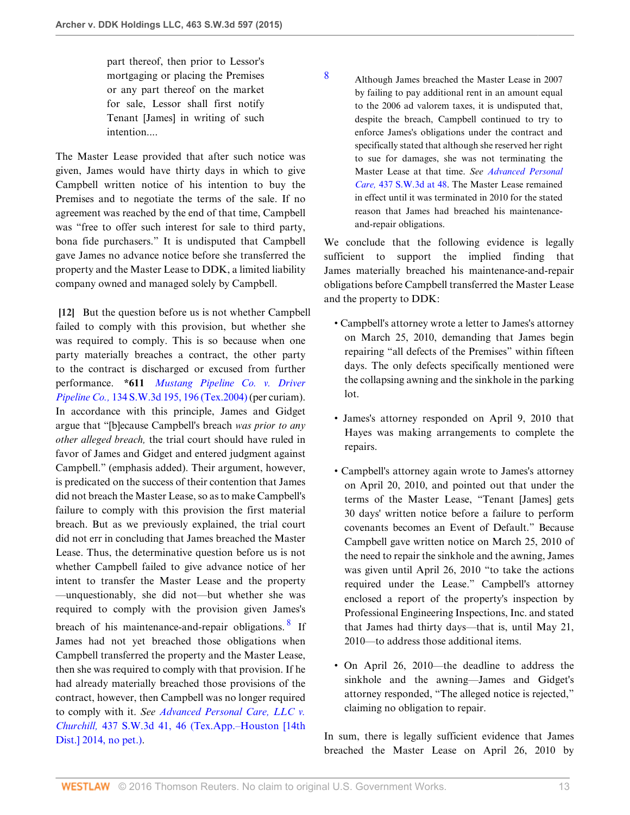part thereof, then prior to Lessor's mortgaging or placing the Premises or any part thereof on the market for sale, Lessor shall first notify Tenant [James] in writing of such intention....

The Master Lease provided that after such notice was given, James would have thirty days in which to give Campbell written notice of his intention to buy the Premises and to negotiate the terms of the sale. If no agreement was reached by the end of that time, Campbell was "free to offer such interest for sale to third party, bona fide purchasers." It is undisputed that Campbell gave James no advance notice before she transferred the property and the Master Lease to DDK, a limited liability company owned and managed solely by Campbell.

<span id="page-12-0"></span>**[\[12](#page-3-1)]** But the question before us is not whether Campbell failed to comply with this provision, but whether she was required to comply. This is so because when one party materially breaches a contract, the other party to the contract is discharged or excused from further performance. **\*611** *[Mustang Pipeline Co. v. Driver](http://www.westlaw.com/Link/Document/FullText?findType=Y&serNum=2004366337&pubNum=0004644&originatingDoc=I7baf9d10d47b11e4829b92275215781c&refType=RP&fi=co_pp_sp_4644_196&originationContext=document&vr=3.0&rs=cblt1.0&transitionType=DocumentItem&contextData=(sc.UserEnteredCitation)#co_pp_sp_4644_196) Pipeline Co.,* [134 S.W.3d 195, 196 \(Tex.2004\)](http://www.westlaw.com/Link/Document/FullText?findType=Y&serNum=2004366337&pubNum=0004644&originatingDoc=I7baf9d10d47b11e4829b92275215781c&refType=RP&fi=co_pp_sp_4644_196&originationContext=document&vr=3.0&rs=cblt1.0&transitionType=DocumentItem&contextData=(sc.UserEnteredCitation)#co_pp_sp_4644_196) (per curiam). In accordance with this principle, James and Gidget argue that "[b]ecause Campbell's breach *was prior to any other alleged breach,* the trial court should have ruled in favor of James and Gidget and entered judgment against Campbell." (emphasis added). Their argument, however, is predicated on the success of their contention that James did not breach the Master Lease, so as to make Campbell's failure to comply with this provision the first material breach. But as we previously explained, the trial court did not err in concluding that James breached the Master Lease. Thus, the determinative question before us is not whether Campbell failed to give advance notice of her intent to transfer the Master Lease and the property —unquestionably, she did not—but whether she was required to comply with the provision given James's breach of his maintenance-and-repair obligations. <sup>[8](#page-12-1)</sup> If James had not yet breached those obligations when Campbell transferred the property and the Master Lease, then she was required to comply with that provision. If he had already materially breached those provisions of the contract, however, then Campbell was no longer required to comply with it. *See [Advanced Personal Care, LLC v.](http://www.westlaw.com/Link/Document/FullText?findType=Y&serNum=2033555735&pubNum=0004644&originatingDoc=I7baf9d10d47b11e4829b92275215781c&refType=RP&fi=co_pp_sp_4644_46&originationContext=document&vr=3.0&rs=cblt1.0&transitionType=DocumentItem&contextData=(sc.UserEnteredCitation)#co_pp_sp_4644_46) Churchill,* [437 S.W.3d 41, 46 \(Tex.App.–Houston \[14th](http://www.westlaw.com/Link/Document/FullText?findType=Y&serNum=2033555735&pubNum=0004644&originatingDoc=I7baf9d10d47b11e4829b92275215781c&refType=RP&fi=co_pp_sp_4644_46&originationContext=document&vr=3.0&rs=cblt1.0&transitionType=DocumentItem&contextData=(sc.UserEnteredCitation)#co_pp_sp_4644_46) [Dist.\] 2014, no pet.\)](http://www.westlaw.com/Link/Document/FullText?findType=Y&serNum=2033555735&pubNum=0004644&originatingDoc=I7baf9d10d47b11e4829b92275215781c&refType=RP&fi=co_pp_sp_4644_46&originationContext=document&vr=3.0&rs=cblt1.0&transitionType=DocumentItem&contextData=(sc.UserEnteredCitation)#co_pp_sp_4644_46).

<span id="page-12-1"></span>[8](#page-12-2) Although James breached the Master Lease in 2007 by failing to pay additional rent in an amount equal to the 2006 ad valorem taxes, it is undisputed that, despite the breach, Campbell continued to try to enforce James's obligations under the contract and specifically stated that although she reserved her right to sue for damages, she was not terminating the Master Lease at that time. *See [Advanced Personal](http://www.westlaw.com/Link/Document/FullText?findType=Y&serNum=2033555735&pubNum=0004644&originatingDoc=I7baf9d10d47b11e4829b92275215781c&refType=RP&fi=co_pp_sp_4644_48&originationContext=document&vr=3.0&rs=cblt1.0&transitionType=DocumentItem&contextData=(sc.UserEnteredCitation)#co_pp_sp_4644_48) Care,* [437 S.W.3d at 48](http://www.westlaw.com/Link/Document/FullText?findType=Y&serNum=2033555735&pubNum=0004644&originatingDoc=I7baf9d10d47b11e4829b92275215781c&refType=RP&fi=co_pp_sp_4644_48&originationContext=document&vr=3.0&rs=cblt1.0&transitionType=DocumentItem&contextData=(sc.UserEnteredCitation)#co_pp_sp_4644_48). The Master Lease remained in effect until it was terminated in 2010 for the stated reason that James had breached his maintenanceand-repair obligations.

We conclude that the following evidence is legally sufficient to support the implied finding that James materially breached his maintenance-and-repair obligations before Campbell transferred the Master Lease and the property to DDK:

- Campbell's attorney wrote a letter to James's attorney on March 25, 2010, demanding that James begin repairing "all defects of the Premises" within fifteen days. The only defects specifically mentioned were the collapsing awning and the sinkhole in the parking lot.
- James's attorney responded on April 9, 2010 that Hayes was making arrangements to complete the repairs.
- Campbell's attorney again wrote to James's attorney on April 20, 2010, and pointed out that under the terms of the Master Lease, "Tenant [James] gets 30 days' written notice before a failure to perform covenants becomes an Event of Default." Because Campbell gave written notice on March 25, 2010 of the need to repair the sinkhole and the awning, James was given until April 26, 2010 "to take the actions required under the Lease." Campbell's attorney enclosed a report of the property's inspection by Professional Engineering Inspections, Inc. and stated that James had thirty days—that is, until May 21, 2010—to address those additional items.
- <span id="page-12-2"></span>• On April 26, 2010—the deadline to address the sinkhole and the awning—James and Gidget's attorney responded, "The alleged notice is rejected," claiming no obligation to repair.

In sum, there is legally sufficient evidence that James breached the Master Lease on April 26, 2010 by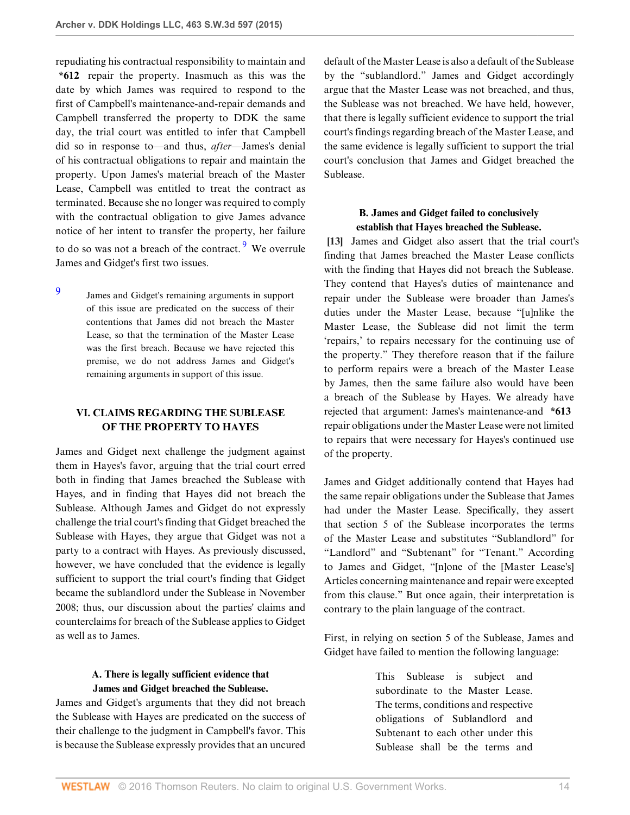repudiating his contractual responsibility to maintain and **\*612** repair the property. Inasmuch as this was the date by which James was required to respond to the first of Campbell's maintenance-and-repair demands and Campbell transferred the property to DDK the same day, the trial court was entitled to infer that Campbell did so in response to—and thus, *after*—James's denial of his contractual obligations to repair and maintain the property. Upon James's material breach of the Master Lease, Campbell was entitled to treat the contract as terminated. Because she no longer was required to comply with the contractual obligation to give James advance notice of her intent to transfer the property, her failure to do so was not a breach of the contract. <sup>[9](#page-13-1)</sup> We overrule James and Gidget's first two issues.

James and Gidget's remaining arguments in support of this issue are predicated on the success of their contentions that James did not breach the Master Lease, so that the termination of the Master Lease was the first breach. Because we have rejected this premise, we do not address James and Gidget's remaining arguments in support of this issue.

<span id="page-13-1"></span>[9](#page-13-2)

## **VI. CLAIMS REGARDING THE SUBLEASE OF THE PROPERTY TO HAYES**

James and Gidget next challenge the judgment against them in Hayes's favor, arguing that the trial court erred both in finding that James breached the Sublease with Hayes, and in finding that Hayes did not breach the Sublease. Although James and Gidget do not expressly challenge the trial court's finding that Gidget breached the Sublease with Hayes, they argue that Gidget was not a party to a contract with Hayes. As previously discussed, however, we have concluded that the evidence is legally sufficient to support the trial court's finding that Gidget became the sublandlord under the Sublease in November 2008; thus, our discussion about the parties' claims and counterclaims for breach of the Sublease applies to Gidget as well as to James.

## **A. There is legally sufficient evidence that James and Gidget breached the Sublease.**

James and Gidget's arguments that they did not breach the Sublease with Hayes are predicated on the success of their challenge to the judgment in Campbell's favor. This is because the Sublease expressly provides that an uncured

default of the Master Lease is also a default of the Sublease by the "sublandlord." James and Gidget accordingly argue that the Master Lease was not breached, and thus, the Sublease was not breached. We have held, however, that there is legally sufficient evidence to support the trial court's findings regarding breach of the Master Lease, and the same evidence is legally sufficient to support the trial court's conclusion that James and Gidget breached the Sublease.

## <span id="page-13-0"></span>**B. James and Gidget failed to conclusively establish that Hayes breached the Sublease.**

<span id="page-13-2"></span>**[\[13](#page-3-0)]** James and Gidget also assert that the trial court's finding that James breached the Master Lease conflicts with the finding that Hayes did not breach the Sublease. They contend that Hayes's duties of maintenance and repair under the Sublease were broader than James's duties under the Master Lease, because "[u]nlike the Master Lease, the Sublease did not limit the term 'repairs,' to repairs necessary for the continuing use of the property." They therefore reason that if the failure to perform repairs were a breach of the Master Lease by James, then the same failure also would have been a breach of the Sublease by Hayes. We already have rejected that argument: James's maintenance-and **\*613** repair obligations under the Master Lease were not limited to repairs that were necessary for Hayes's continued use of the property.

James and Gidget additionally contend that Hayes had the same repair obligations under the Sublease that James had under the Master Lease. Specifically, they assert that section 5 of the Sublease incorporates the terms of the Master Lease and substitutes "Sublandlord" for "Landlord" and "Subtenant" for "Tenant." According to James and Gidget, "[n]one of the [Master Lease's] Articles concerning maintenance and repair were excepted from this clause." But once again, their interpretation is contrary to the plain language of the contract.

First, in relying on section 5 of the Sublease, James and Gidget have failed to mention the following language:

> This Sublease is subject and subordinate to the Master Lease. The terms, conditions and respective obligations of Sublandlord and Subtenant to each other under this Sublease shall be the terms and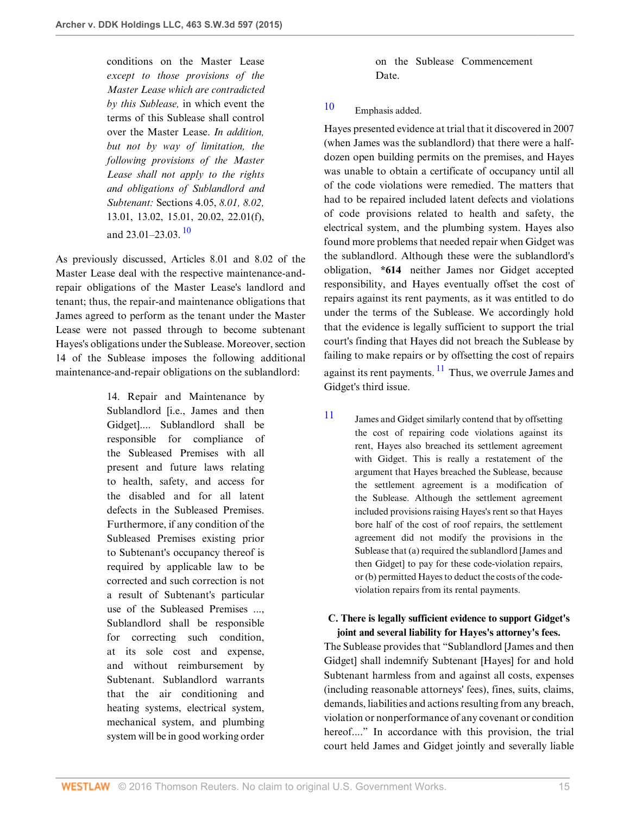conditions on the Master Lease *except to those provisions of the Master Lease which are contradicted by this Sublease,* in which event the terms of this Sublease shall control over the Master Lease. *In addition, but not by way of limitation, the following provisions of the Master Lease shall not apply to the rights and obligations of Sublandlord and Subtenant:* Sections 4.05, *8.01, 8.02,* 13.01, 13.02, 15.01, 20.02, 22.01(f), and  $23.01-23.03$ .  $10$ 

<span id="page-14-1"></span>As previously discussed, Articles 8.01 and 8.02 of the Master Lease deal with the respective maintenance-andrepair obligations of the Master Lease's landlord and tenant; thus, the repair-and maintenance obligations that James agreed to perform as the tenant under the Master Lease were not passed through to become subtenant Hayes's obligations under the Sublease. Moreover, section 14 of the Sublease imposes the following additional maintenance-and-repair obligations on the sublandlord:

> 14. Repair and Maintenance by Sublandlord [i.e., James and then Gidget].... Sublandlord shall be responsible for compliance of the Subleased Premises with all present and future laws relating to health, safety, and access for the disabled and for all latent defects in the Subleased Premises. Furthermore, if any condition of the Subleased Premises existing prior to Subtenant's occupancy thereof is required by applicable law to be corrected and such correction is not a result of Subtenant's particular use of the Subleased Premises ..., Sublandlord shall be responsible for correcting such condition, at its sole cost and expense, and without reimbursement by Subtenant. Sublandlord warrants that the air conditioning and heating systems, electrical system, mechanical system, and plumbing system will be in good working order

on the Sublease Commencement Date.

# <span id="page-14-0"></span>[10](#page-14-1) Emphasis added.

Hayes presented evidence at trial that it discovered in 2007 (when James was the sublandlord) that there were a halfdozen open building permits on the premises, and Hayes was unable to obtain a certificate of occupancy until all of the code violations were remedied. The matters that had to be repaired included latent defects and violations of code provisions related to health and safety, the electrical system, and the plumbing system. Hayes also found more problems that needed repair when Gidget was the sublandlord. Although these were the sublandlord's obligation, **\*614** neither James nor Gidget accepted responsibility, and Hayes eventually offset the cost of repairs against its rent payments, as it was entitled to do under the terms of the Sublease. We accordingly hold that the evidence is legally sufficient to support the trial court's finding that Hayes did not breach the Sublease by failing to make repairs or by offsetting the cost of repairs against its rent payments.  $\frac{11}{11}$  $\frac{11}{11}$  $\frac{11}{11}$  Thus, we overrule James and Gidget's third issue.

<span id="page-14-3"></span><span id="page-14-2"></span>[11](#page-14-3) James and Gidget similarly contend that by offsetting the cost of repairing code violations against its rent, Hayes also breached its settlement agreement with Gidget. This is really a restatement of the argument that Hayes breached the Sublease, because the settlement agreement is a modification of the Sublease. Although the settlement agreement included provisions raising Hayes's rent so that Hayes bore half of the cost of roof repairs, the settlement agreement did not modify the provisions in the Sublease that (a) required the sublandlord [James and then Gidget] to pay for these code-violation repairs, or (b) permitted Hayes to deduct the costs of the codeviolation repairs from its rental payments.

### **C. There is legally sufficient evidence to support Gidget's joint and several liability for Hayes's attorney's fees.**

The Sublease provides that "Sublandlord [James and then Gidget] shall indemnify Subtenant [Hayes] for and hold Subtenant harmless from and against all costs, expenses (including reasonable attorneys' fees), fines, suits, claims, demands, liabilities and actions resulting from any breach, violation or nonperformance of any covenant or condition hereof...." In accordance with this provision, the trial court held James and Gidget jointly and severally liable